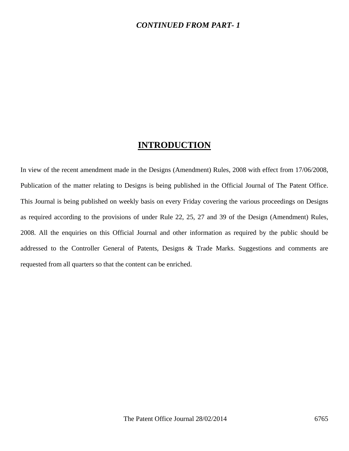### *CONTINUED FROM PART- 1*

## **INTRODUCTION**

In view of the recent amendment made in the Designs (Amendment) Rules, 2008 with effect from 17/06/2008, Publication of the matter relating to Designs is being published in the Official Journal of The Patent Office. This Journal is being published on weekly basis on every Friday covering the various proceedings on Designs as required according to the provisions of under Rule 22, 25, 27 and 39 of the Design (Amendment) Rules, 2008. All the enquiries on this Official Journal and other information as required by the public should be addressed to the Controller General of Patents, Designs & Trade Marks. Suggestions and comments are requested from all quarters so that the content can be enriched.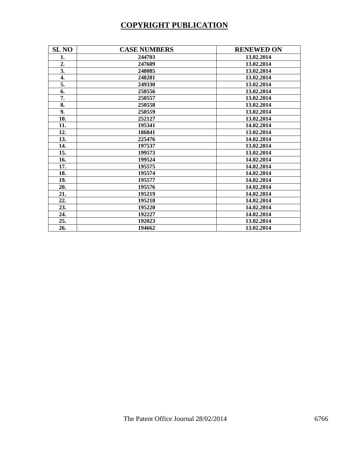# **COPYRIGHT PUBLICATION**

| <b>SL NO</b>     | <b>CASE NUMBERS</b> | <b>RENEWED ON</b> |
|------------------|---------------------|-------------------|
| 1.               | 244703              | 13.02.2014        |
| 2.               | 247609              | 13.02.2014        |
| 3.               | 248085              | 13.02.2014        |
| $\overline{4}$ . | 248281              | 13.02.2014        |
| 5.               | 249330              | 13.02.2014        |
| 6.               | 250556              | 13.02.2014        |
| 7.               | 250557              | 13.02.2014        |
| 8.               | 250558              | 13.02.2014        |
| 9.               | 250559              | 13.02.2014        |
| 10.              | 252127              | 13.02.2014        |
| 11.              | 195341              | 14.02.2014        |
| 12.              | 186841              | 13.02.2014        |
| 13.              | 225476              | 14.02.2014        |
| 14.              | 197537              | 13.02.2014        |
| 15.              | 199573              | 13.02.2014        |
| 16.              | 199524              | 14.02.2014        |
| 17.              | 195575              | 14.02.2014        |
| 18.              | 195574              | 14.02.2014        |
| 19.              | 195577              | 14.02.2014        |
| 20.              | 195576              | 14.02.2014        |
| 21.              | 195219              | 14.02.2014        |
| 22.              | 195218              | 14.02.2014        |
| 23.              | 195220              | 14.02.2014        |
| 24.              | 192227              | 14.02.2014        |
| 25.              | 192023              | 13.02.2014        |
| 26.              | 194662              | 13.02.2014        |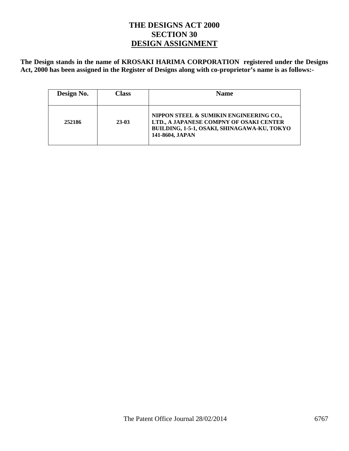## **THE DESIGNS ACT 2000 SECTION 30 DESIGN ASSIGNMENT**

**The Design stands in the name of KROSAKI HARIMA CORPORATION registered under the Designs Act, 2000 has been assigned in the Register of Designs along with co-proprietor's name is as follows:-** 

| Design No. | Class   | <b>Name</b>                                                                                                                                          |
|------------|---------|------------------------------------------------------------------------------------------------------------------------------------------------------|
| 252186     | $23-03$ | NIPPON STEEL & SUMIKIN ENGINEERING CO.,<br>LTD., A JAPANESE COMPNY OF OSAKI CENTER<br>BUILDING, 1-5-1, OSAKI, SHINAGAWA-KU, TOKYO<br>141-8604, JAPAN |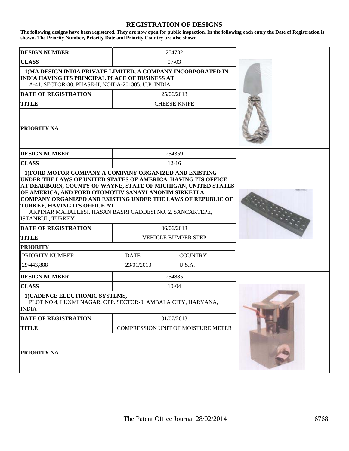#### **REGISTRATION OF DESIGNS**

**The following designs have been registered. They are now open for public inspection. In the following each entry the Date of Registration is shown. The Priority Number, Priority Date and Priority Country are also shown**

| <b>DESIGN NUMBER</b>                                                                                                                                                                                                                                                                                                                                                             |             | 254732                                    |  |
|----------------------------------------------------------------------------------------------------------------------------------------------------------------------------------------------------------------------------------------------------------------------------------------------------------------------------------------------------------------------------------|-------------|-------------------------------------------|--|
| <b>CLASS</b>                                                                                                                                                                                                                                                                                                                                                                     |             | $07-03$                                   |  |
| 1) MA DESIGN INDIA PRIVATE LIMITED, A COMPANY INCORPORATED IN<br><b>INDIA HAVING ITS PRINCIPAL PLACE OF BUSINESS AT</b><br>A-41, SECTOR-80, PHASE-II, NOIDA-201305, U.P. INDIA                                                                                                                                                                                                   |             |                                           |  |
| <b>DATE OF REGISTRATION</b>                                                                                                                                                                                                                                                                                                                                                      |             | 25/06/2013                                |  |
| <b>TITLE</b>                                                                                                                                                                                                                                                                                                                                                                     |             | <b>CHEESE KNIFE</b>                       |  |
| <b>PRIORITY NA</b>                                                                                                                                                                                                                                                                                                                                                               |             |                                           |  |
| <b>DESIGN NUMBER</b>                                                                                                                                                                                                                                                                                                                                                             |             | 254359                                    |  |
| <b>CLASS</b>                                                                                                                                                                                                                                                                                                                                                                     |             | $12 - 16$                                 |  |
| UNDER THE LAWS OF UNITED STATES OF AMERICA, HAVING ITS OFFICE<br>AT DEARBORN, COUNTY OF WAYNE, STATE OF MICHIGAN, UNITED STATES<br>OF AMERICA, AND FORD OTOMOTIV SANAYI ANONIM SIRKETI A<br><b>COMPANY ORGANIZED AND EXISTING UNDER THE LAWS OF REPUBLIC OF</b><br>TURKEY, HAVING ITS OFFICE AT<br>AKPINAR MAHALLESI, HASAN BASRI CADDESI NO. 2, SANCAKTEPE,<br>ISTANBUL, TURKEY |             |                                           |  |
| <b>DATE OF REGISTRATION</b>                                                                                                                                                                                                                                                                                                                                                      |             | 06/06/2013                                |  |
| <b>TITLE</b>                                                                                                                                                                                                                                                                                                                                                                     |             | VEHICLE BUMPER STEP                       |  |
| <b>PRIORITY</b>                                                                                                                                                                                                                                                                                                                                                                  |             |                                           |  |
| PRIORITY NUMBER                                                                                                                                                                                                                                                                                                                                                                  | <b>DATE</b> | <b>COUNTRY</b>                            |  |
| 29/443,888                                                                                                                                                                                                                                                                                                                                                                       | 23/01/2013  | U.S.A.                                    |  |
| <b>DESIGN NUMBER</b>                                                                                                                                                                                                                                                                                                                                                             |             | 254885                                    |  |
| <b>CLASS</b>                                                                                                                                                                                                                                                                                                                                                                     |             | 10-04                                     |  |
| 1) CADENCE ELECTRONIC SYSTEMS,<br>PLOT NO 4, LUXMI NAGAR, OPP. SECTOR-9, AMBALA CITY, HARYANA,<br><b>INDIA</b>                                                                                                                                                                                                                                                                   |             |                                           |  |
| DATE OF REGISTRATION                                                                                                                                                                                                                                                                                                                                                             | 01/07/2013  |                                           |  |
| <b>TITLE</b>                                                                                                                                                                                                                                                                                                                                                                     |             | <b>COMPRESSION UNIT OF MOISTURE METER</b> |  |
| <b>PRIORITY NA</b>                                                                                                                                                                                                                                                                                                                                                               |             |                                           |  |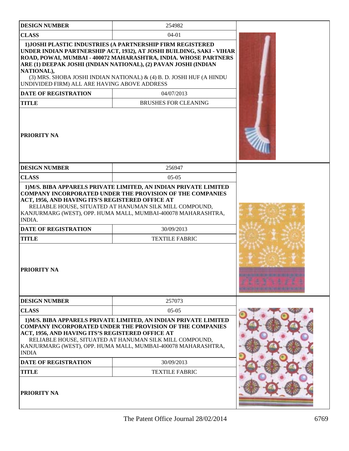| <b>DESIGN NUMBER</b>                                                                                                     | 254982                                                                                                                                                                                                                                                                                                                                           |  |
|--------------------------------------------------------------------------------------------------------------------------|--------------------------------------------------------------------------------------------------------------------------------------------------------------------------------------------------------------------------------------------------------------------------------------------------------------------------------------------------|--|
| <b>CLASS</b>                                                                                                             |                                                                                                                                                                                                                                                                                                                                                  |  |
| NATIONAL),<br>UNDIVIDED FIRM) ALL ARE HAVING ABOVE ADDRESS                                                               | 1) JOSHI PLASTIC INDUSTRIES (A PARTNERSHIP FIRM REGISTERED<br>UNDER INDIAN PARTNERSHIP ACT, 1932), AT JOSHI BUILDING, SAKI - VIHAR<br>ROAD, POWAI, MUMBAI - 400072 MAHARASHTRA, INDIA. WHOSE PARTNERS<br>ARE (1) DEEPAK JOSHI (INDIAN NATIONAL), (2) PAVAN JOSHI (INDIAN<br>(3) MRS. SHOBA JOSHI INDIAN NATIONAL) & (4) B. D. JOSHI HUF (A HINDU |  |
| <b>DATE OF REGISTRATION</b>                                                                                              | 04/07/2013                                                                                                                                                                                                                                                                                                                                       |  |
| <b>TITLE</b>                                                                                                             | <b>BRUSHES FOR CLEANING</b>                                                                                                                                                                                                                                                                                                                      |  |
| PRIORITY NA                                                                                                              |                                                                                                                                                                                                                                                                                                                                                  |  |
| <b>DESIGN NUMBER</b>                                                                                                     | 256947                                                                                                                                                                                                                                                                                                                                           |  |
| <b>CLASS</b>                                                                                                             | $05-05$                                                                                                                                                                                                                                                                                                                                          |  |
| ACT, 1956, AND HAVING ITS'S REGISTERED OFFICE AT<br>INDIA.<br>DATE OF REGISTRATION<br><b>TITLE</b><br><b>PRIORITY NA</b> | RELIABLE HOUSE, SITUATED AT HANUMAN SILK MILL COMPOUND,<br>KANJURMARG (WEST), OPP. HUMA MALL, MUMBAI-400078 MAHARASHTRA,<br>30/09/2013<br><b>TEXTILE FABRIC</b>                                                                                                                                                                                  |  |
| <b>DESIGN NUMBER</b>                                                                                                     | 257073                                                                                                                                                                                                                                                                                                                                           |  |
| <b>CLASS</b>                                                                                                             | $05-05$                                                                                                                                                                                                                                                                                                                                          |  |
| ACT, 1956, AND HAVING ITS'S REGISTERED OFFICE AT<br><b>INDIA</b>                                                         | 1) M/S. BIBA APPARELS PRIVATE LIMITED, AN INDIAN PRIVATE LIMITED<br><b>COMPANY INCORPORATED UNDER THE PROVISION OF THE COMPANIES</b><br>RELIABLE HOUSE, SITUATED AT HANUMAN SILK MILL COMPOUND,<br>KANJURMARG (WEST), OPP. HUMA MALL, MUMBAI-400078 MAHARASHTRA,                                                                                 |  |
| <b>DATE OF REGISTRATION</b>                                                                                              | 30/09/2013                                                                                                                                                                                                                                                                                                                                       |  |
| <b>TITLE</b>                                                                                                             | <b>TEXTILE FABRIC</b>                                                                                                                                                                                                                                                                                                                            |  |
| <b>PRIORITY NA</b>                                                                                                       |                                                                                                                                                                                                                                                                                                                                                  |  |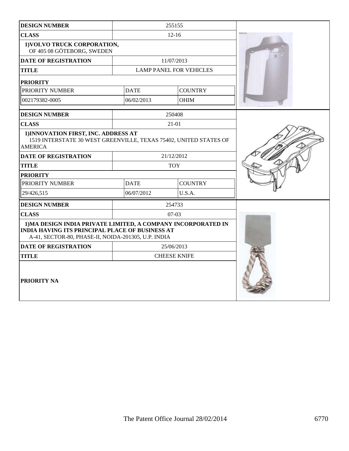| <b>DESIGN NUMBER</b>                                                                                                                                                           |             | 255155                         |  |
|--------------------------------------------------------------------------------------------------------------------------------------------------------------------------------|-------------|--------------------------------|--|
| <b>CLASS</b>                                                                                                                                                                   |             |                                |  |
| 1) VOLVO TRUCK CORPORATION,<br>OF 405 08 GÖTEBORG, SWEDEN                                                                                                                      |             |                                |  |
| <b>DATE OF REGISTRATION</b>                                                                                                                                                    |             | 11/07/2013                     |  |
| <b>TITLE</b>                                                                                                                                                                   |             | <b>LAMP PANEL FOR VEHICLES</b> |  |
| <b>PRIORITY</b>                                                                                                                                                                |             |                                |  |
| PRIORITY NUMBER                                                                                                                                                                | <b>DATE</b> | <b>COUNTRY</b>                 |  |
| 002179382-0005                                                                                                                                                                 | 06/02/2013  | <b>OHIM</b>                    |  |
| <b>DESIGN NUMBER</b>                                                                                                                                                           |             | 250408                         |  |
| <b>CLASS</b>                                                                                                                                                                   |             | $21 - 01$                      |  |
| 1) INNOVATION FIRST, INC. ADDRESS AT<br>1519 INTERSTATE 30 WEST GREENVILLE, TEXAS 75402, UNITED STATES OF<br><b>AMERICA</b>                                                    |             |                                |  |
| <b>DATE OF REGISTRATION</b>                                                                                                                                                    |             | 21/12/2012                     |  |
| <b>TITLE</b>                                                                                                                                                                   |             | <b>TOY</b>                     |  |
| <b>PRIORITY</b>                                                                                                                                                                |             |                                |  |
| PRIORITY NUMBER                                                                                                                                                                | <b>DATE</b> | <b>COUNTRY</b>                 |  |
| 29/426,515                                                                                                                                                                     | 06/07/2012  | U.S.A.                         |  |
| <b>DESIGN NUMBER</b>                                                                                                                                                           |             | 254733                         |  |
| <b>CLASS</b>                                                                                                                                                                   |             | $07-03$                        |  |
| 1) MA DESIGN INDIA PRIVATE LIMITED, A COMPANY INCORPORATED IN<br><b>INDIA HAVING ITS PRINCIPAL PLACE OF BUSINESS AT</b><br>A-41, SECTOR-80, PHASE-II, NOIDA-201305, U.P. INDIA |             |                                |  |
| <b>DATE OF REGISTRATION</b>                                                                                                                                                    |             | 25/06/2013                     |  |
| <b>TITLE</b>                                                                                                                                                                   |             | <b>CHEESE KNIFE</b>            |  |
| PRIORITY NA                                                                                                                                                                    |             |                                |  |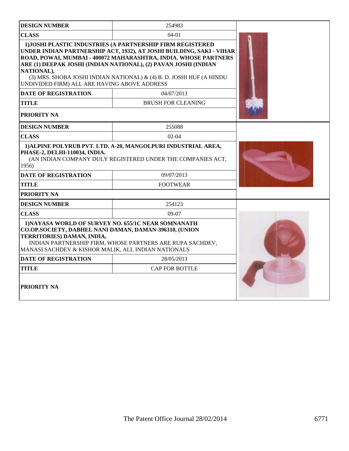| <b>DESIGN NUMBER</b>                                                                                                                                                                                                                                            | 254983                                                                                                                                                                                                                                                                                                                                           |  |
|-----------------------------------------------------------------------------------------------------------------------------------------------------------------------------------------------------------------------------------------------------------------|--------------------------------------------------------------------------------------------------------------------------------------------------------------------------------------------------------------------------------------------------------------------------------------------------------------------------------------------------|--|
| <b>CLASS</b>                                                                                                                                                                                                                                                    |                                                                                                                                                                                                                                                                                                                                                  |  |
| NATIONAL),<br>UNDIVIDED FIRM) ALL ARE HAVING ABOVE ADDRESS                                                                                                                                                                                                      | 1) JOSHI PLASTIC INDUSTRIES (A PARTNERSHIP FIRM REGISTERED<br>UNDER INDIAN PARTNERSHIP ACT, 1932), AT JOSHI BUILDING, SAKI - VIHAR<br>ROAD, POWAI, MUMBAI - 400072 MAHARASHTRA, INDIA. WHOSE PARTNERS<br>ARE (1) DEEPAK JOSHI (INDIAN NATIONAL), (2) PAVAN JOSHI (INDIAN<br>(3) MRS. SHOBA JOSHI INDIAN NATIONAL) & (4) B. D. JOSHI HUF (A HINDU |  |
| <b>DATE OF REGISTRATION</b>                                                                                                                                                                                                                                     | 04/07/2013                                                                                                                                                                                                                                                                                                                                       |  |
| TITLE                                                                                                                                                                                                                                                           | <b>BRUSH FOR CLEANING</b>                                                                                                                                                                                                                                                                                                                        |  |
| PRIORITY NA                                                                                                                                                                                                                                                     |                                                                                                                                                                                                                                                                                                                                                  |  |
| <b>DESIGN NUMBER</b>                                                                                                                                                                                                                                            | 255088                                                                                                                                                                                                                                                                                                                                           |  |
| <b>CLASS</b>                                                                                                                                                                                                                                                    | $02-04$                                                                                                                                                                                                                                                                                                                                          |  |
| 1) ALPINE POLYRUB PVT. LTD. A-20, MANGOLPURI INDUSTRIAL AREA,<br>PHASE-2, DELHI-110034, INDIA.<br>(AN INDIAN COMPANY DULY REGISTERED UNDER THE COMPANIES ACT,<br>1956)                                                                                          |                                                                                                                                                                                                                                                                                                                                                  |  |
| <b>DATE OF REGISTRATION</b>                                                                                                                                                                                                                                     | 09/07/2013                                                                                                                                                                                                                                                                                                                                       |  |
| <b>TITLE</b>                                                                                                                                                                                                                                                    | <b>FOOTWEAR</b>                                                                                                                                                                                                                                                                                                                                  |  |
| PRIORITY NA                                                                                                                                                                                                                                                     |                                                                                                                                                                                                                                                                                                                                                  |  |
| <b>DESIGN NUMBER</b>                                                                                                                                                                                                                                            | 254123                                                                                                                                                                                                                                                                                                                                           |  |
| <b>CLASS</b>                                                                                                                                                                                                                                                    | $09-07$                                                                                                                                                                                                                                                                                                                                          |  |
| 1) NAYASA WORLD OF SURVEY NO. 655/1C NEAR SOMNANATH<br>CO.OP.SOCIETY, DABHEL NANI DAMAN, DAMAN-396310, (UNION<br>TERRITORIES) DAMAN, INDIA,<br>INDIAN PARTNERSHIP FIRM, WHOSE PARTNERS ARE RUPA SACHDEV,<br>MANASI SACHDEV & KISHOR MALIK, ALL INDIAN NATIONALS |                                                                                                                                                                                                                                                                                                                                                  |  |
| <b>DATE OF REGISTRATION</b>                                                                                                                                                                                                                                     | 28/05/2013                                                                                                                                                                                                                                                                                                                                       |  |
| <b>TITLE</b>                                                                                                                                                                                                                                                    | <b>CAP FOR BOTTLE</b>                                                                                                                                                                                                                                                                                                                            |  |
| PRIORITY NA                                                                                                                                                                                                                                                     |                                                                                                                                                                                                                                                                                                                                                  |  |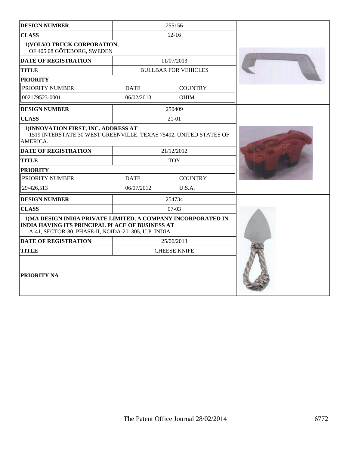| <b>DESIGN NUMBER</b>                                                                                                                                                           |             | 255156                      |  |
|--------------------------------------------------------------------------------------------------------------------------------------------------------------------------------|-------------|-----------------------------|--|
| <b>CLASS</b><br>$12 - 16$                                                                                                                                                      |             |                             |  |
| 1) VOLVO TRUCK CORPORATION,<br>OF 405 08 GÖTEBORG, SWEDEN                                                                                                                      |             |                             |  |
| <b>DATE OF REGISTRATION</b>                                                                                                                                                    |             | 11/07/2013                  |  |
| <b>TITLE</b>                                                                                                                                                                   |             | <b>BULLBAR FOR VEHICLES</b> |  |
| <b>PRIORITY</b>                                                                                                                                                                |             |                             |  |
| PRIORITY NUMBER                                                                                                                                                                | <b>DATE</b> | <b>COUNTRY</b>              |  |
| 002179523-0001                                                                                                                                                                 | 06/02/2013  | <b>OHIM</b>                 |  |
| <b>DESIGN NUMBER</b>                                                                                                                                                           |             | 250409                      |  |
| <b>CLASS</b>                                                                                                                                                                   |             | 21-01                       |  |
| 1) INNOVATION FIRST, INC. ADDRESS AT<br>1519 INTERSTATE 30 WEST GREENVILLE, TEXAS 75402, UNITED STATES OF<br>AMERICA.                                                          |             |                             |  |
| <b>DATE OF REGISTRATION</b>                                                                                                                                                    |             | 21/12/2012                  |  |
| <b>TITLE</b>                                                                                                                                                                   |             | <b>TOY</b>                  |  |
| <b>PRIORITY</b>                                                                                                                                                                |             |                             |  |
| PRIORITY NUMBER                                                                                                                                                                | <b>DATE</b> | <b>COUNTRY</b>              |  |
| 29/426,513                                                                                                                                                                     | 06/07/2012  | U.S.A.                      |  |
| <b>DESIGN NUMBER</b>                                                                                                                                                           |             | 254734                      |  |
| <b>CLASS</b>                                                                                                                                                                   |             | $07-03$                     |  |
| 1) MA DESIGN INDIA PRIVATE LIMITED, A COMPANY INCORPORATED IN<br><b>INDIA HAVING ITS PRINCIPAL PLACE OF BUSINESS AT</b><br>A-41, SECTOR-80, PHASE-II, NOIDA-201305, U.P. INDIA |             |                             |  |
| <b>DATE OF REGISTRATION</b>                                                                                                                                                    |             | 25/06/2013                  |  |
| <b>TITLE</b>                                                                                                                                                                   |             | <b>CHEESE KNIFE</b>         |  |
| PRIORITY NA                                                                                                                                                                    |             |                             |  |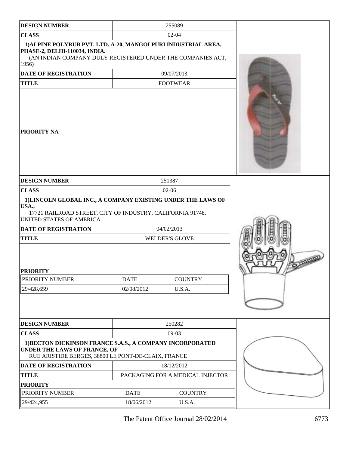| <b>DESIGN NUMBER</b>                                                                                                                                                     |                                                                                                   | 255089          |                |  |
|--------------------------------------------------------------------------------------------------------------------------------------------------------------------------|---------------------------------------------------------------------------------------------------|-----------------|----------------|--|
| <b>CLASS</b>                                                                                                                                                             | $02 - 04$                                                                                         |                 |                |  |
| 1) ALPINE POLYRUB PVT. LTD. A-20, MANGOLPURI INDUSTRIAL AREA,<br>PHASE-2, DELHI-110034, INDIA.<br>(AN INDIAN COMPANY DULY REGISTERED UNDER THE COMPANIES ACT,<br>1956)   |                                                                                                   |                 |                |  |
| <b>DATE OF REGISTRATION</b>                                                                                                                                              |                                                                                                   | 09/07/2013      |                |  |
| <b>TITLE</b>                                                                                                                                                             |                                                                                                   | <b>FOOTWEAR</b> |                |  |
| <b>PRIORITY NA</b>                                                                                                                                                       |                                                                                                   |                 |                |  |
| <b>DESIGN NUMBER</b>                                                                                                                                                     |                                                                                                   | 251387          |                |  |
| <b>CLASS</b>                                                                                                                                                             | 02-06                                                                                             |                 |                |  |
| 1) LINCOLN GLOBAL INC., A COMPANY EXISTING UNDER THE LAWS OF<br>USA.,<br>UNITED STATES OF AMERICA<br><b>DATE OF REGISTRATION</b><br><b>TITLE</b><br><b>PRIORITY</b>      | 17721 RAILROAD STREET, CITY OF INDUSTRY, CALIFORNIA 91748,<br>04/02/2013<br><b>WELDER'S GLOVE</b> |                 |                |  |
| PRIORITY NUMBER                                                                                                                                                          | <b>DATE</b>                                                                                       |                 | <b>COUNTRY</b> |  |
| 29/428,659                                                                                                                                                               | 02/08/2012                                                                                        |                 | U.S.A.         |  |
|                                                                                                                                                                          |                                                                                                   |                 |                |  |
| <b>DESIGN NUMBER</b>                                                                                                                                                     |                                                                                                   | 250282          |                |  |
| <b>CLASS</b>                                                                                                                                                             | $09-03$                                                                                           |                 |                |  |
| 1) BECTON DICKINSON FRANCE S.A.S., A COMPANY INCORPORATED<br>UNDER THE LAWS OF FRANCE, OF<br>RUE ARISTIDE BERGES, 38800 LE PONT-DE-CLAIX, FRANCE<br>DATE OF REGISTRATION |                                                                                                   | 18/12/2012      |                |  |
| <b>TITLE</b>                                                                                                                                                             | PACKAGING FOR A MEDICAL INJECTOR                                                                  |                 |                |  |
| <b>PRIORITY</b>                                                                                                                                                          |                                                                                                   |                 |                |  |
| PRIORITY NUMBER                                                                                                                                                          | <b>DATE</b>                                                                                       |                 | <b>COUNTRY</b> |  |
| 29/424,955                                                                                                                                                               | 18/06/2012                                                                                        |                 | U.S.A.         |  |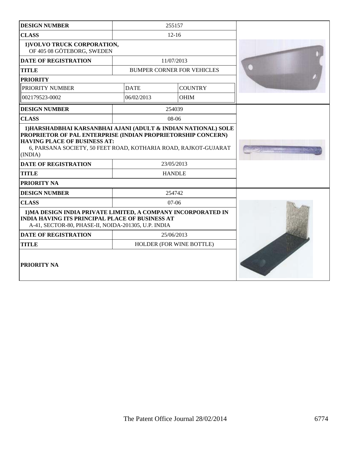| <b>DESIGN NUMBER</b>                                                                                                                                                                                                           |               | 255157                            |  |
|--------------------------------------------------------------------------------------------------------------------------------------------------------------------------------------------------------------------------------|---------------|-----------------------------------|--|
| <b>CLASS</b>                                                                                                                                                                                                                   |               | $12 - 16$                         |  |
| 1) VOLVO TRUCK CORPORATION,<br>OF 405 08 GÖTEBORG, SWEDEN                                                                                                                                                                      |               |                                   |  |
| <b>DATE OF REGISTRATION</b>                                                                                                                                                                                                    |               | 11/07/2013                        |  |
| <b>TITLE</b>                                                                                                                                                                                                                   |               | <b>BUMPER CORNER FOR VEHICLES</b> |  |
| <b>PRIORITY</b>                                                                                                                                                                                                                |               |                                   |  |
| PRIORITY NUMBER                                                                                                                                                                                                                | <b>DATE</b>   | <b>COUNTRY</b>                    |  |
| 002179523-0002                                                                                                                                                                                                                 | 06/02/2013    | <b>OHIM</b>                       |  |
| <b>DESIGN NUMBER</b>                                                                                                                                                                                                           |               | 254039                            |  |
| <b>CLASS</b>                                                                                                                                                                                                                   |               | $08-06$                           |  |
| PROPRIETOR OF PAL ENTERPRISE (INDIAN PROPRIETORSHIP CONCERN)<br><b>HAVING PLACE OF BUSINESS AT:</b><br>6, PARSANA SOCIETY, 50 FEET ROAD, KOTHARIA ROAD, RAJKOT-GUJARAT<br>(INDIA)<br><b>DATE OF REGISTRATION</b><br>23/05/2013 |               |                                   |  |
| <b>TITLE</b>                                                                                                                                                                                                                   | <b>HANDLE</b> |                                   |  |
| PRIORITY NA                                                                                                                                                                                                                    |               |                                   |  |
| <b>DESIGN NUMBER</b>                                                                                                                                                                                                           |               | 254742                            |  |
| <b>CLASS</b>                                                                                                                                                                                                                   |               | $07-06$                           |  |
| 1) MA DESIGN INDIA PRIVATE LIMITED, A COMPANY INCORPORATED IN<br><b>INDIA HAVING ITS PRINCIPAL PLACE OF BUSINESS AT</b><br>A-41, SECTOR-80, PHASE-II, NOIDA-201305, U.P. INDIA                                                 |               |                                   |  |
| <b>DATE OF REGISTRATION</b>                                                                                                                                                                                                    |               | 25/06/2013                        |  |
| <b>TITLE</b>                                                                                                                                                                                                                   |               | HOLDER (FOR WINE BOTTLE)          |  |
| <b>PRIORITY NA</b>                                                                                                                                                                                                             |               |                                   |  |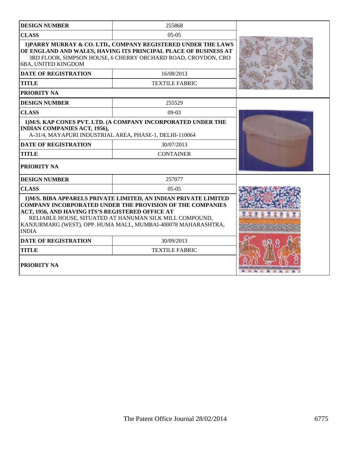| <b>DESIGN NUMBER</b>                                                                                                                                                                                                                                                                                                                 | 255868                                                                      |  |
|--------------------------------------------------------------------------------------------------------------------------------------------------------------------------------------------------------------------------------------------------------------------------------------------------------------------------------------|-----------------------------------------------------------------------------|--|
| <b>CLASS</b>                                                                                                                                                                                                                                                                                                                         |                                                                             |  |
| 1) PARRY MURRAY & CO. LTD., COMPANY REGISTERED UNDER THE LAWS<br>OF ENGLAND AND WALES, HAVING ITS PRINCIPAL PLACE OF BUSINESS AT<br>3RD FLOOR, SIMPSON HOUSE, 6 CHERRY ORCHARD ROAD, CROYDON, CRO<br>6BA, UNITED KINGDOM                                                                                                             |                                                                             |  |
| <b>DATE OF REGISTRATION</b>                                                                                                                                                                                                                                                                                                          | 16/08/2013                                                                  |  |
| <b>TITLE</b>                                                                                                                                                                                                                                                                                                                         | <b>TEXTILE FABRIC</b>                                                       |  |
| PRIORITY NA                                                                                                                                                                                                                                                                                                                          |                                                                             |  |
| <b>DESIGN NUMBER</b>                                                                                                                                                                                                                                                                                                                 | 255529                                                                      |  |
| <b>CLASS</b>                                                                                                                                                                                                                                                                                                                         | $09-03$                                                                     |  |
| <b>INDIAN COMPANIES ACT, 1956),</b><br>A-31/4, MAYAPURI INDUSTRIAL AREA, PHASE-1, DELHI-110064                                                                                                                                                                                                                                       | 1) M/S. KAP CONES PVT. LTD. (A COMPANY INCORPORATED UNDER THE<br>30/07/2013 |  |
| <b>DATE OF REGISTRATION</b>                                                                                                                                                                                                                                                                                                          |                                                                             |  |
| <b>CONTAINER</b><br><b>TITLE</b>                                                                                                                                                                                                                                                                                                     |                                                                             |  |
| <b>PRIORITY NA</b>                                                                                                                                                                                                                                                                                                                   |                                                                             |  |
| <b>DESIGN NUMBER</b>                                                                                                                                                                                                                                                                                                                 | 257077                                                                      |  |
| <b>CLASS</b>                                                                                                                                                                                                                                                                                                                         | $05-05$                                                                     |  |
| 1) M/S. BIBA APPARELS PRIVATE LIMITED, AN INDIAN PRIVATE LIMITED<br><b>COMPANY INCORPORATED UNDER THE PROVISION OF THE COMPANIES</b><br>ACT, 1956, AND HAVING ITS'S REGISTERED OFFICE AT<br>RELIABLE HOUSE, SITUATED AT HANUMAN SILK MILL COMPOUND,<br>KANJURMARG (WEST), OPP. HUMA MALL, MUMBAI-400078 MAHARASHTRA,<br><b>INDIA</b> |                                                                             |  |
| <b>DATE OF REGISTRATION</b>                                                                                                                                                                                                                                                                                                          |                                                                             |  |
| <b>TITLE</b>                                                                                                                                                                                                                                                                                                                         |                                                                             |  |
| PRIORITY NA                                                                                                                                                                                                                                                                                                                          |                                                                             |  |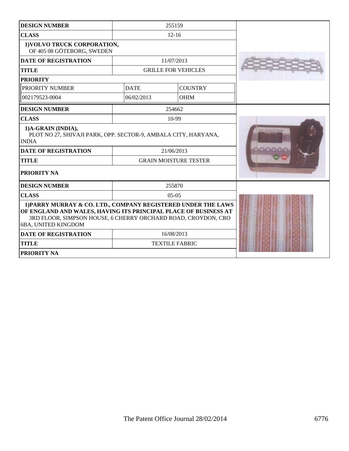| <b>DESIGN NUMBER</b>                                                                                                                                                                                                     |             |                              |  |
|--------------------------------------------------------------------------------------------------------------------------------------------------------------------------------------------------------------------------|-------------|------------------------------|--|
| <b>CLASS</b>                                                                                                                                                                                                             |             |                              |  |
| 1) VOLVO TRUCK CORPORATION,<br>OF 405 08 GÖTEBORG, SWEDEN                                                                                                                                                                |             |                              |  |
| <b>DATE OF REGISTRATION</b>                                                                                                                                                                                              |             | 11/07/2013                   |  |
| <b>TITLE</b>                                                                                                                                                                                                             |             | <b>GRILLE FOR VEHICLES</b>   |  |
| <b>PRIORITY</b>                                                                                                                                                                                                          |             |                              |  |
| PRIORITY NUMBER                                                                                                                                                                                                          | <b>DATE</b> | <b>COUNTRY</b>               |  |
| 002179523-0004                                                                                                                                                                                                           | 06/02/2013  | <b>OHIM</b>                  |  |
| <b>DESIGN NUMBER</b>                                                                                                                                                                                                     |             | 254662                       |  |
| <b>CLASS</b>                                                                                                                                                                                                             |             | 10-99                        |  |
| 1)A-GRAIN (INDIA),<br>PLOT NO 27, SHIVAJI PARK, OPP. SECTOR-9, AMBALA CITY, HARYANA,<br><b>INDIA</b>                                                                                                                     |             |                              |  |
| <b>DATE OF REGISTRATION</b>                                                                                                                                                                                              | 21/06/2013  |                              |  |
| <b>TITLE</b>                                                                                                                                                                                                             |             | <b>GRAIN MOISTURE TESTER</b> |  |
| PRIORITY NA                                                                                                                                                                                                              |             |                              |  |
| <b>DESIGN NUMBER</b>                                                                                                                                                                                                     |             | 255870                       |  |
| <b>CLASS</b>                                                                                                                                                                                                             |             | $0.5 - 0.5$                  |  |
| 1) PARRY MURRAY & CO. LTD., COMPANY REGISTERED UNDER THE LAWS<br>OF ENGLAND AND WALES, HAVING ITS PRINCIPAL PLACE OF BUSINESS AT<br>3RD FLOOR, SIMPSON HOUSE, 6 CHERRY ORCHARD ROAD, CROYDON, CRO<br>6BA, UNITED KINGDOM |             |                              |  |
| <b>DATE OF REGISTRATION</b>                                                                                                                                                                                              |             | 16/08/2013                   |  |
| <b>TITLE</b><br><b>TEXTILE FABRIC</b>                                                                                                                                                                                    |             |                              |  |
| PRIORITY NA                                                                                                                                                                                                              |             |                              |  |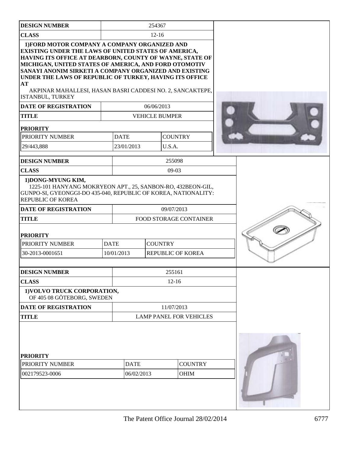| <b>DESIGN NUMBER</b>                                                                                                                                                                                                                                                                                                                                                                                                                   |                           | 254367                        |                                |  |  |
|----------------------------------------------------------------------------------------------------------------------------------------------------------------------------------------------------------------------------------------------------------------------------------------------------------------------------------------------------------------------------------------------------------------------------------------|---------------------------|-------------------------------|--------------------------------|--|--|
| <b>CLASS</b>                                                                                                                                                                                                                                                                                                                                                                                                                           | $12 - 16$                 |                               |                                |  |  |
| 1) FORD MOTOR COMPANY A COMPANY ORGANIZED AND<br>EXISTING UNDER THE LAWS OF UNITED STATES OF AMERICA,<br>HAVING ITS OFFICE AT DEARBORN, COUNTY OF WAYNE, STATE OF<br>MICHIGAN, UNITED STATES OF AMERICA, AND FORD OTOMOTIV<br>SANAYI ANONIM SIRKETI A COMPANY ORGANIZED AND EXISTING<br>UNDER THE LAWS OF REPUBLIC OF TURKEY, HAVING ITS OFFICE<br>AT<br>AKPINAR MAHALLESI, HASAN BASRI CADDESI NO. 2, SANCAKTEPE,<br>ISTANBUL, TURKEY |                           |                               |                                |  |  |
| <b>DATE OF REGISTRATION</b>                                                                                                                                                                                                                                                                                                                                                                                                            |                           | 06/06/2013                    |                                |  |  |
| <b>TITLE</b>                                                                                                                                                                                                                                                                                                                                                                                                                           |                           | <b>VEHICLE BUMPER</b>         |                                |  |  |
| <b>PRIORITY</b>                                                                                                                                                                                                                                                                                                                                                                                                                        |                           |                               |                                |  |  |
| PRIORITY NUMBER                                                                                                                                                                                                                                                                                                                                                                                                                        | <b>DATE</b>               |                               | <b>COUNTRY</b>                 |  |  |
| 29/443,888                                                                                                                                                                                                                                                                                                                                                                                                                             | 23/01/2013                | U.S.A.                        |                                |  |  |
| <b>DESIGN NUMBER</b>                                                                                                                                                                                                                                                                                                                                                                                                                   |                           |                               | 255098                         |  |  |
| <b>CLASS</b>                                                                                                                                                                                                                                                                                                                                                                                                                           |                           |                               | $09-03$                        |  |  |
| 1) DONG-MYUNG KIM,<br>1225-101 HANYANG MOKRYEON APT., 25, SANBON-RO, 432BEON-GIL,<br>GUNPO-SI, GYEONGGI-DO 435-040, REPUBLIC OF KOREA, NATIONALITY:<br><b>REPUBLIC OF KOREA</b>                                                                                                                                                                                                                                                        |                           |                               |                                |  |  |
| <b>DATE OF REGISTRATION</b>                                                                                                                                                                                                                                                                                                                                                                                                            |                           | 09/07/2013                    |                                |  |  |
| <b>TITLE</b>                                                                                                                                                                                                                                                                                                                                                                                                                           |                           | <b>FOOD STORAGE CONTAINER</b> |                                |  |  |
| <b>PRIORITY</b>                                                                                                                                                                                                                                                                                                                                                                                                                        |                           |                               |                                |  |  |
| PRIORITY NUMBER                                                                                                                                                                                                                                                                                                                                                                                                                        | <b>DATE</b>               | <b>COUNTRY</b>                |                                |  |  |
| 30-2013-0001651                                                                                                                                                                                                                                                                                                                                                                                                                        | 10/01/2013                |                               | <b>REPUBLIC OF KOREA</b>       |  |  |
| <b>DESIGN NUMBER</b>                                                                                                                                                                                                                                                                                                                                                                                                                   |                           |                               | 255161                         |  |  |
| <b>CLASS</b>                                                                                                                                                                                                                                                                                                                                                                                                                           |                           |                               | $12 - 16$                      |  |  |
| 1) VOLVO TRUCK CORPORATION,<br>OF 405 08 GÖTEBORG, SWEDEN                                                                                                                                                                                                                                                                                                                                                                              |                           |                               |                                |  |  |
| <b>DATE OF REGISTRATION</b>                                                                                                                                                                                                                                                                                                                                                                                                            |                           |                               | 11/07/2013                     |  |  |
| <b>TITLE</b>                                                                                                                                                                                                                                                                                                                                                                                                                           |                           |                               | <b>LAMP PANEL FOR VEHICLES</b> |  |  |
| <b>PRIORITY</b><br>PRIORITY NUMBER<br>002179523-0006                                                                                                                                                                                                                                                                                                                                                                                   | <b>DATE</b><br>06/02/2013 |                               | <b>COUNTRY</b><br><b>OHIM</b>  |  |  |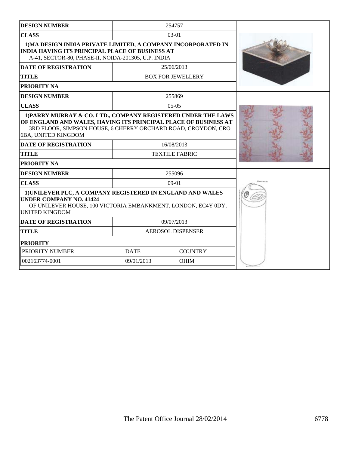| <b>DESIGN NUMBER</b>                                                                                                                                                                                                     |                               | 254757                   |  |
|--------------------------------------------------------------------------------------------------------------------------------------------------------------------------------------------------------------------------|-------------------------------|--------------------------|--|
| <b>CLASS</b>                                                                                                                                                                                                             |                               | $03-01$                  |  |
| 1) MA DESIGN INDIA PRIVATE LIMITED, A COMPANY INCORPORATED IN<br><b>INDIA HAVING ITS PRINCIPAL PLACE OF BUSINESS AT</b><br>A-41, SECTOR-80, PHASE-II, NOIDA-201305, U.P. INDIA                                           |                               |                          |  |
| <b>DATE OF REGISTRATION</b>                                                                                                                                                                                              |                               | 25/06/2013               |  |
| <b>TITLE</b>                                                                                                                                                                                                             |                               | <b>BOX FOR JEWELLERY</b> |  |
| <b>PRIORITY NA</b>                                                                                                                                                                                                       |                               |                          |  |
| <b>DESIGN NUMBER</b>                                                                                                                                                                                                     |                               | 255869                   |  |
| <b>CLASS</b>                                                                                                                                                                                                             |                               | $0.5 - 0.5$              |  |
| 1) PARRY MURRAY & CO. LTD., COMPANY REGISTERED UNDER THE LAWS<br>OF ENGLAND AND WALES, HAVING ITS PRINCIPAL PLACE OF BUSINESS AT<br>3RD FLOOR, SIMPSON HOUSE, 6 CHERRY ORCHARD ROAD, CROYDON, CRO<br>6BA, UNITED KINGDOM |                               |                          |  |
| <b>DATE OF REGISTRATION</b>                                                                                                                                                                                              | 16/08/2013                    |                          |  |
| <b>TITLE</b>                                                                                                                                                                                                             |                               | <b>TEXTILE FABRIC</b>    |  |
| <b>PRIORITY NA</b>                                                                                                                                                                                                       |                               |                          |  |
| <b>DESIGN NUMBER</b>                                                                                                                                                                                                     |                               | 255096                   |  |
| <b>CLASS</b>                                                                                                                                                                                                             | $09-01$                       |                          |  |
| 1) UNILEVER PLC, A COMPANY REGISTERED IN ENGLAND AND WALES<br><b>UNDER COMPANY NO. 41424</b><br>OF UNILEVER HOUSE, 100 VICTORIA EMBANKMENT, LONDON, EC4Y 0DY,<br><b>UNITED KINGDOM</b>                                   |                               |                          |  |
| <b>DATE OF REGISTRATION</b>                                                                                                                                                                                              | 09/07/2013                    |                          |  |
| <b>TITLE</b>                                                                                                                                                                                                             | <b>AEROSOL DISPENSER</b>      |                          |  |
| <b>PRIORITY</b>                                                                                                                                                                                                          |                               |                          |  |
| PRIORITY NUMBER                                                                                                                                                                                                          | <b>COUNTRY</b><br><b>DATE</b> |                          |  |
| 002163774-0001                                                                                                                                                                                                           | 09/01/2013<br><b>OHIM</b>     |                          |  |
|                                                                                                                                                                                                                          |                               |                          |  |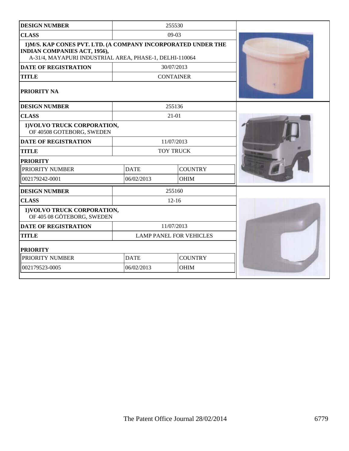| <b>DESIGN NUMBER</b>                                                                                                                                            |                                | 255530           |  |
|-----------------------------------------------------------------------------------------------------------------------------------------------------------------|--------------------------------|------------------|--|
| <b>CLASS</b>                                                                                                                                                    | $09-03$                        |                  |  |
| 1) M/S. KAP CONES PVT. LTD. (A COMPANY INCORPORATED UNDER THE<br><b>INDIAN COMPANIES ACT, 1956),</b><br>A-31/4, MAYAPURI INDUSTRIAL AREA, PHASE-1, DELHI-110064 |                                |                  |  |
| <b>DATE OF REGISTRATION</b>                                                                                                                                     |                                | 30/07/2013       |  |
| <b>TITLE</b>                                                                                                                                                    |                                | <b>CONTAINER</b> |  |
| PRIORITY NA                                                                                                                                                     |                                |                  |  |
| <b>DESIGN NUMBER</b>                                                                                                                                            |                                | 255136           |  |
| <b>CLASS</b>                                                                                                                                                    |                                | $21 - 01$        |  |
| 1) VOLVO TRUCK CORPORATION,<br>OF 40508 GOTEBORG, SWEDEN                                                                                                        |                                |                  |  |
| <b>DATE OF REGISTRATION</b>                                                                                                                                     |                                | 11/07/2013       |  |
| <b>TITLE</b>                                                                                                                                                    | <b>TOY TRUCK</b>               |                  |  |
| <b>PRIORITY</b>                                                                                                                                                 |                                |                  |  |
| PRIORITY NUMBER                                                                                                                                                 | <b>DATE</b>                    | <b>COUNTRY</b>   |  |
| 002179242-0001                                                                                                                                                  | 06/02/2013                     | <b>OHIM</b>      |  |
| <b>DESIGN NUMBER</b>                                                                                                                                            |                                | 255160           |  |
| <b>CLASS</b>                                                                                                                                                    |                                | $12 - 16$        |  |
| 1) VOLVO TRUCK CORPORATION,<br>OF 405 08 GÖTEBORG, SWEDEN                                                                                                       |                                |                  |  |
| <b>DATE OF REGISTRATION</b>                                                                                                                                     | 11/07/2013                     |                  |  |
| <b>TITLE</b>                                                                                                                                                    | <b>LAMP PANEL FOR VEHICLES</b> |                  |  |
| <b>PRIORITY</b>                                                                                                                                                 |                                |                  |  |
| PRIORITY NUMBER                                                                                                                                                 | <b>DATE</b>                    | <b>COUNTRY</b>   |  |
| 002179523-0005                                                                                                                                                  | 06/02/2013                     | <b>OHIM</b>      |  |
|                                                                                                                                                                 |                                |                  |  |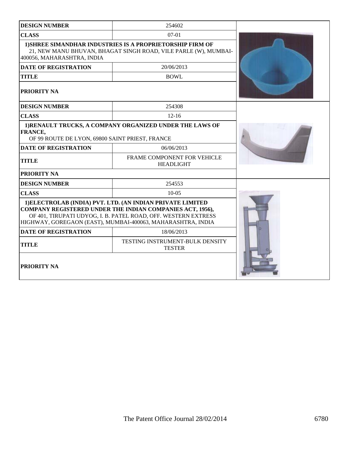| <b>DESIGN NUMBER</b>                                              | 254602                                                                                                                                                                                                                                                          |  |
|-------------------------------------------------------------------|-----------------------------------------------------------------------------------------------------------------------------------------------------------------------------------------------------------------------------------------------------------------|--|
| <b>CLASS</b>                                                      | $07-01$                                                                                                                                                                                                                                                         |  |
| 400056, MAHARASHTRA, INDIA                                        | <b>1) SHREE SIMANDHAR INDUSTRIES IS A PROPRIETORSHIP FIRM OF</b><br>21, NEW MANU BHUVAN, BHAGAT SINGH ROAD, VILE PARLE (W), MUMBAI-                                                                                                                             |  |
| <b>DATE OF REGISTRATION</b>                                       | 20/06/2013                                                                                                                                                                                                                                                      |  |
| <b>TITLE</b>                                                      | <b>BOWL</b>                                                                                                                                                                                                                                                     |  |
| <b>PRIORITY NA</b>                                                |                                                                                                                                                                                                                                                                 |  |
| <b>DESIGN NUMBER</b>                                              | 254308                                                                                                                                                                                                                                                          |  |
| <b>CLASS</b>                                                      | $12 - 16$                                                                                                                                                                                                                                                       |  |
| <b>FRANCE,</b><br>OF 99 ROUTE DE LYON, 69800 SAINT PRIEST, FRANCE | 1) RENAULT TRUCKS, A COMPANY ORGANIZED UNDER THE LAWS OF                                                                                                                                                                                                        |  |
| <b>DATE OF REGISTRATION</b>                                       | 06/06/2013                                                                                                                                                                                                                                                      |  |
| <b>TITLE</b>                                                      | FRAME COMPONENT FOR VEHICLE<br><b>HEADLIGHT</b>                                                                                                                                                                                                                 |  |
| <b>PRIORITY NA</b>                                                |                                                                                                                                                                                                                                                                 |  |
| <b>DESIGN NUMBER</b>                                              | 254553                                                                                                                                                                                                                                                          |  |
| <b>CLASS</b>                                                      | $10-0.5$                                                                                                                                                                                                                                                        |  |
|                                                                   | 1) ELECTROLAB (INDIA) PVT. LTD. (AN INDIAN PRIVATE LIMITED<br><b>COMPANY REGISTERED UNDER THE INDIAN COMPANIES ACT, 1956),</b><br>OF 401, TIRUPATI UDYOG, I. B. PATEL ROAD, OFF. WESTERN EXTRESS<br>HIGHWAY, GOREGAON (EAST), MUMBAI-400063, MAHARASHTRA, INDIA |  |
| <b>DATE OF REGISTRATION</b>                                       | 18/06/2013                                                                                                                                                                                                                                                      |  |
| <b>TITLE</b>                                                      | TESTING INSTRUMENT-BULK DENSITY<br><b>TESTER</b>                                                                                                                                                                                                                |  |
| <b>PRIORITY NA</b>                                                |                                                                                                                                                                                                                                                                 |  |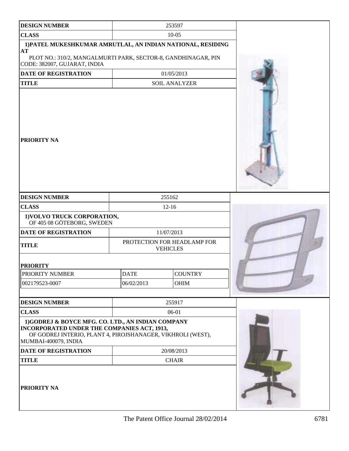| <b>DESIGN NUMBER</b>                                                                                                                                                                    |             | 253597                                         |  |
|-----------------------------------------------------------------------------------------------------------------------------------------------------------------------------------------|-------------|------------------------------------------------|--|
| <b>CLASS</b>                                                                                                                                                                            |             | $10 - 05$                                      |  |
| 1) PATEL MUKESHKUMAR AMRUTLAL, AN INDIAN NATIONAL, RESIDING<br>AT<br>PLOT NO.: 310/2, MANGALMURTI PARK, SECTOR-8, GANDHINAGAR, PIN<br>CODE: 382007, GUJARAT, INDIA                      |             |                                                |  |
| <b>DATE OF REGISTRATION</b>                                                                                                                                                             |             | 01/05/2013                                     |  |
| <b>TITLE</b>                                                                                                                                                                            |             | <b>SOIL ANALYZER</b>                           |  |
| PRIORITY NA                                                                                                                                                                             |             |                                                |  |
| <b>DESIGN NUMBER</b>                                                                                                                                                                    |             | 255162                                         |  |
| <b>CLASS</b>                                                                                                                                                                            |             | $12 - 16$                                      |  |
| 1) VOLVO TRUCK CORPORATION,<br>OF 405 08 GÖTEBORG, SWEDEN                                                                                                                               |             |                                                |  |
| DATE OF REGISTRATION                                                                                                                                                                    |             | 11/07/2013                                     |  |
| <b>TITLE</b>                                                                                                                                                                            |             | PROTECTION FOR HEADLAMP FOR<br><b>VEHICLES</b> |  |
| <b>PRIORITY</b>                                                                                                                                                                         |             |                                                |  |
| PRIORITY NUMBER                                                                                                                                                                         | <b>DATE</b> | <b>COUNTRY</b>                                 |  |
| 002179523-0007                                                                                                                                                                          | 06/02/2013  | <b>OHIM</b>                                    |  |
| <b>DESIGN NUMBER</b>                                                                                                                                                                    |             | 255917                                         |  |
| <b>CLASS</b>                                                                                                                                                                            |             | 06-01                                          |  |
| 1)GODREJ & BOYCE MFG. CO. LTD., AN INDIAN COMPANY<br>INCORPORATED UNDER THE COMPANIES ACT, 1913,<br>OF GODREJ INTERIO, PLANT 4, PIROJSHANAGER, VIKHROLI (WEST),<br>MUMBAI-400079, INDIA |             |                                                |  |
| <b>DATE OF REGISTRATION</b>                                                                                                                                                             | 20/08/2013  |                                                |  |
| <b>TITLE</b>                                                                                                                                                                            |             | <b>CHAIR</b>                                   |  |
| PRIORITY NA                                                                                                                                                                             |             |                                                |  |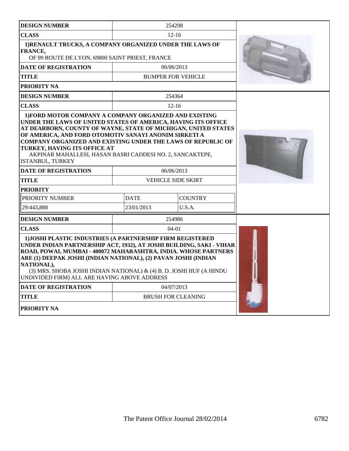| <b>DESIGN NUMBER</b>                                                                                                                                                                                                                                                                                                                                                                                           |             | 254298                    |  |
|----------------------------------------------------------------------------------------------------------------------------------------------------------------------------------------------------------------------------------------------------------------------------------------------------------------------------------------------------------------------------------------------------------------|-------------|---------------------------|--|
| <b>CLASS</b>                                                                                                                                                                                                                                                                                                                                                                                                   |             | $12 - 16$                 |  |
| 1) RENAULT TRUCKS, A COMPANY ORGANIZED UNDER THE LAWS OF<br><b>FRANCE,</b><br>OF 99 ROUTE DE LYON, 69800 SAINT PRIEST, FRANCE                                                                                                                                                                                                                                                                                  |             |                           |  |
| <b>DATE OF REGISTRATION</b>                                                                                                                                                                                                                                                                                                                                                                                    |             | 06/06/2013                |  |
| TITLE                                                                                                                                                                                                                                                                                                                                                                                                          |             | <b>BUMPER FOR VEHICLE</b> |  |
| PRIORITY NA                                                                                                                                                                                                                                                                                                                                                                                                    |             |                           |  |
| <b>DESIGN NUMBER</b>                                                                                                                                                                                                                                                                                                                                                                                           |             | 254364                    |  |
| <b>CLASS</b>                                                                                                                                                                                                                                                                                                                                                                                                   |             | $12 - 16$                 |  |
| UNDER THE LAWS OF UNITED STATES OF AMERICA, HAVING ITS OFFICE<br>AT DEARBORN, COUNTY OF WAYNE, STATE OF MICHIGAN, UNITED STATES<br>OF AMERICA, AND FORD OTOMOTIV SANAYI ANONIM SIRKETI A<br><b>COMPANY ORGANIZED AND EXISTING UNDER THE LAWS OF REPUBLIC OF</b><br>TURKEY, HAVING ITS OFFICE AT<br>AKPINAR MAHALLESI, HASAN BASRI CADDESI NO. 2, SANCAKTEPE,<br>ISTANBUL, TURKEY                               |             |                           |  |
| <b>DATE OF REGISTRATION</b>                                                                                                                                                                                                                                                                                                                                                                                    |             | 06/06/2013                |  |
| <b>TITLE</b>                                                                                                                                                                                                                                                                                                                                                                                                   |             | <b>VEHICLE SIDE SKIRT</b> |  |
| <b>PRIORITY</b>                                                                                                                                                                                                                                                                                                                                                                                                |             |                           |  |
| PRIORITY NUMBER                                                                                                                                                                                                                                                                                                                                                                                                | <b>DATE</b> | <b>COUNTRY</b>            |  |
| 29/443,888                                                                                                                                                                                                                                                                                                                                                                                                     | 23/01/2013  | U.S.A.                    |  |
| <b>DESIGN NUMBER</b>                                                                                                                                                                                                                                                                                                                                                                                           |             | 254986                    |  |
| <b>CLASS</b>                                                                                                                                                                                                                                                                                                                                                                                                   |             | $04-01$                   |  |
| 1) JOSHI PLASTIC INDUSTRIES (A PARTNERSHIP FIRM REGISTERED<br>UNDER INDIAN PARTNERSHIP ACT, 1932), AT JOSHI BUILDING, SAKI - VIHAR<br>ROAD, POWAI, MUMBAI - 400072 MAHARASHTRA, INDIA. WHOSE PARTNERS<br>ARE (1) DEEPAK JOSHI (INDIAN NATIONAL), (2) PAVAN JOSHI (INDIAN<br>NATIONAL),<br>(3) MRS. SHOBA JOSHI INDIAN NATIONAL) & (4) B. D. JOSHI HUF (A HINDU<br>UNDIVIDED FIRM) ALL ARE HAVING ABOVE ADDRESS |             |                           |  |
| <b>DATE OF REGISTRATION</b>                                                                                                                                                                                                                                                                                                                                                                                    |             | 04/07/2013                |  |
| TITLE                                                                                                                                                                                                                                                                                                                                                                                                          |             | <b>BRUSH FOR CLEANING</b> |  |
| <b>PRIORITY NA</b>                                                                                                                                                                                                                                                                                                                                                                                             |             |                           |  |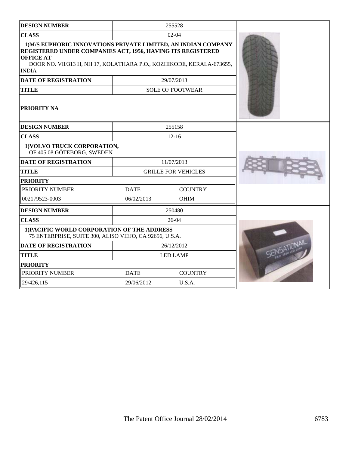| <b>DESIGN NUMBER</b>                                                                                                                                                                                                                      |                            | 255528                  |  |
|-------------------------------------------------------------------------------------------------------------------------------------------------------------------------------------------------------------------------------------------|----------------------------|-------------------------|--|
| <b>CLASS</b>                                                                                                                                                                                                                              |                            | $02 - 04$               |  |
| 1) M/S EUPHORIC INNOVATIONS PRIVATE LIMITED, AN INDIAN COMPANY<br>REGISTERED UNDER COMPANIES ACT, 1956, HAVING ITS REGISTERED<br><b>OFFICE AT</b><br>DOOR NO. VII/313 H, NH 17, KOLATHARA P.O., KOZHIKODE, KERALA-673655,<br><b>INDIA</b> |                            |                         |  |
| <b>DATE OF REGISTRATION</b>                                                                                                                                                                                                               |                            | 29/07/2013              |  |
| <b>TITLE</b>                                                                                                                                                                                                                              |                            | <b>SOLE OF FOOTWEAR</b> |  |
| <b>PRIORITY NA</b>                                                                                                                                                                                                                        |                            |                         |  |
| <b>DESIGN NUMBER</b>                                                                                                                                                                                                                      |                            | 255158                  |  |
| <b>CLASS</b>                                                                                                                                                                                                                              |                            | $12 - 16$               |  |
| 1) VOLVO TRUCK CORPORATION,<br>OF 405 08 GÖTEBORG, SWEDEN                                                                                                                                                                                 |                            |                         |  |
| <b>DATE OF REGISTRATION</b>                                                                                                                                                                                                               | 11/07/2013                 |                         |  |
| <b>TITLE</b>                                                                                                                                                                                                                              | <b>GRILLE FOR VEHICLES</b> |                         |  |
| <b>PRIORITY</b>                                                                                                                                                                                                                           |                            |                         |  |
| PRIORITY NUMBER                                                                                                                                                                                                                           | <b>DATE</b>                | <b>COUNTRY</b>          |  |
| 002179523-0003                                                                                                                                                                                                                            | 06/02/2013                 | <b>OHIM</b>             |  |
| <b>DESIGN NUMBER</b>                                                                                                                                                                                                                      |                            | 250480                  |  |
| <b>CLASS</b>                                                                                                                                                                                                                              |                            | $26-04$                 |  |
| 1) PACIFIC WORLD CORPORATION OF THE ADDRESS<br>75 ENTERPRISE, SUITE 300, ALISO VIEJO, CA 92656, U.S.A.                                                                                                                                    |                            |                         |  |
| <b>DATE OF REGISTRATION</b>                                                                                                                                                                                                               | 26/12/2012                 |                         |  |
| <b>TITLE</b>                                                                                                                                                                                                                              | <b>LED LAMP</b>            |                         |  |
| <b>PRIORITY</b>                                                                                                                                                                                                                           |                            |                         |  |
| PRIORITY NUMBER                                                                                                                                                                                                                           | <b>DATE</b>                | <b>COUNTRY</b>          |  |
| 29/426,115                                                                                                                                                                                                                                | 29/06/2012                 | U.S.A.                  |  |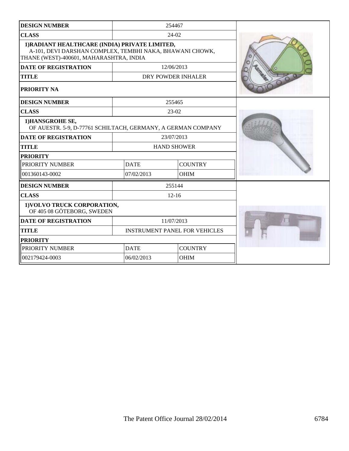| <b>DESIGN NUMBER</b>                                                                                                                                  |                                      | 254467             |  |
|-------------------------------------------------------------------------------------------------------------------------------------------------------|--------------------------------------|--------------------|--|
| <b>CLASS</b>                                                                                                                                          | $24-02$                              |                    |  |
| 1) RADIANT HEALTHCARE (INDIA) PRIVATE LIMITED,<br>A-101, DEVI DARSHAN COMPLEX, TEMBHI NAKA, BHAWANI CHOWK,<br>THANE (WEST)-400601, MAHARASHTRA, INDIA |                                      |                    |  |
| <b>DATE OF REGISTRATION</b>                                                                                                                           |                                      | 12/06/2013         |  |
| <b>TITLE</b>                                                                                                                                          |                                      | DRY POWDER INHALER |  |
| <b>PRIORITY NA</b>                                                                                                                                    |                                      |                    |  |
| <b>DESIGN NUMBER</b>                                                                                                                                  |                                      | 255465             |  |
| <b>CLASS</b>                                                                                                                                          |                                      | $23-02$            |  |
| 1) HANSGROHE SE,<br>OF AUESTR. 5-9, D-77761 SCHILTACH, GERMANY, A GERMAN COMPANY                                                                      |                                      |                    |  |
| <b>DATE OF REGISTRATION</b>                                                                                                                           | 23/07/2013                           |                    |  |
| <b>TITLE</b>                                                                                                                                          | <b>HAND SHOWER</b>                   |                    |  |
| <b>PRIORITY</b>                                                                                                                                       |                                      |                    |  |
| PRIORITY NUMBER                                                                                                                                       | <b>DATE</b>                          | <b>COUNTRY</b>     |  |
| 001360143-0002                                                                                                                                        | 07/02/2013                           | <b>OHIM</b>        |  |
| <b>DESIGN NUMBER</b>                                                                                                                                  |                                      | 255144             |  |
| <b>CLASS</b>                                                                                                                                          |                                      | $12 - 16$          |  |
| 1) VOLVO TRUCK CORPORATION,<br>OF 405 08 GÖTEBORG, SWEDEN                                                                                             |                                      |                    |  |
| <b>DATE OF REGISTRATION</b>                                                                                                                           | 11/07/2013                           |                    |  |
| <b>TITLE</b>                                                                                                                                          | <b>INSTRUMENT PANEL FOR VEHICLES</b> |                    |  |
| <b>PRIORITY</b>                                                                                                                                       |                                      |                    |  |
| PRIORITY NUMBER                                                                                                                                       | <b>DATE</b>                          | <b>COUNTRY</b>     |  |
| 002179424-0003                                                                                                                                        | 06/02/2013                           | <b>OHIM</b>        |  |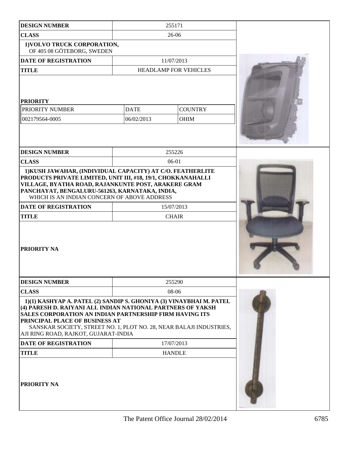| <b>DESIGN NUMBER</b>                                                                                                                                                                                                                                                                                                                           |                           | 255171                     |  |
|------------------------------------------------------------------------------------------------------------------------------------------------------------------------------------------------------------------------------------------------------------------------------------------------------------------------------------------------|---------------------------|----------------------------|--|
| <b>CLASS</b>                                                                                                                                                                                                                                                                                                                                   | $26 - 06$                 |                            |  |
| 1) VOLVO TRUCK CORPORATION,<br>OF 405 08 GÖTEBORG, SWEDEN                                                                                                                                                                                                                                                                                      |                           |                            |  |
| DATE OF REGISTRATION                                                                                                                                                                                                                                                                                                                           |                           | 11/07/2013                 |  |
| <b>TITLE</b>                                                                                                                                                                                                                                                                                                                                   |                           | HEADLAMP FOR VEHICLES      |  |
| <b>PRIORITY</b><br>PRIORITY NUMBER<br>002179564-0005                                                                                                                                                                                                                                                                                           | <b>DATE</b><br>06/02/2013 | <b>COUNTRY</b><br>OHIM     |  |
| <b>DESIGN NUMBER</b>                                                                                                                                                                                                                                                                                                                           |                           | 255226                     |  |
| <b>CLASS</b>                                                                                                                                                                                                                                                                                                                                   |                           | $06-01$                    |  |
| PRODUCTS PRIVATE LIMITED, UNIT III, #18, 19/1, CHOKKANAHALLI<br>VILLAGE, BYATHA ROAD, RAJANKUNTE POST, ARAKERE GRAM<br>PANCHAYAT, BENGALURU-561263, KARNATAKA, INDIA,<br>WHICH IS AN INDIAN CONCERN OF ABOVE ADDRESS<br>DATE OF REGISTRATION<br><b>TITLE</b><br>PRIORITY NA                                                                    |                           | 15/07/2013<br><b>CHAIR</b> |  |
| <b>DESIGN NUMBER</b>                                                                                                                                                                                                                                                                                                                           |                           | 255290                     |  |
| <b>CLASS</b>                                                                                                                                                                                                                                                                                                                                   | 08-06                     |                            |  |
| 1)(1) KASHYAP A. PATEL (2) SANDIP S. GHONIYA (3) VINAYBHAI M. PATEL<br>(4) PARESH D. RAIYANI ALL INDIAN NATIONAL PARTNERS OF YAKSH<br>SALES CORPORATION AN INDIAN PARTNERSHIP FIRM HAVING ITS<br>PRINCIPAL PLACE OF BUSINESS AT<br>SANSKAR SOCIETY, STREET NO. 1, PLOT NO. 28, NEAR BALAJI INDUSTRIES,<br>AJI RING ROAD, RAJKOT, GUJARAT-INDIA |                           |                            |  |
| DATE OF REGISTRATION                                                                                                                                                                                                                                                                                                                           | 17/07/2013                |                            |  |
| <b>TITLE</b>                                                                                                                                                                                                                                                                                                                                   |                           | <b>HANDLE</b>              |  |
| PRIORITY NA                                                                                                                                                                                                                                                                                                                                    |                           |                            |  |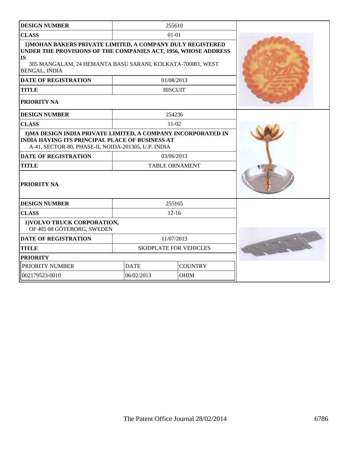| <b>DESIGN NUMBER</b>                                                                                                                                                                                                            |                               | 255610         |  |
|---------------------------------------------------------------------------------------------------------------------------------------------------------------------------------------------------------------------------------|-------------------------------|----------------|--|
| <b>CLASS</b>                                                                                                                                                                                                                    |                               | $01 - 01$      |  |
| 1) MOHAN BAKERS PRIVATE LIMITED, A COMPANY DULY REGISTERED<br>UNDER THE PROVISIONS OF THE COMPANIES ACT, 1956, WHOSE ADDRESS<br><b>IS</b><br>305 MANGALAM, 24 HEMANTA BASU SARANI, KOLKATA-700001, WEST<br><b>BENGAL, INDIA</b> |                               |                |  |
| <b>DATE OF REGISTRATION</b>                                                                                                                                                                                                     |                               | 01/08/2013     |  |
| <b>TITLE</b>                                                                                                                                                                                                                    |                               | <b>BISCUIT</b> |  |
| <b>PRIORITY NA</b>                                                                                                                                                                                                              |                               |                |  |
| <b>DESIGN NUMBER</b>                                                                                                                                                                                                            |                               | 254236         |  |
| <b>CLASS</b>                                                                                                                                                                                                                    |                               | $11-02$        |  |
| 1) MA DESIGN INDIA PRIVATE LIMITED, A COMPANY INCORPORATED IN<br><b>INDIA HAVING ITS PRINCIPAL PLACE OF BUSINESS AT</b><br>A-41, SECTOR-80, PHASE-II, NOIDA-201305, U.P. INDIA                                                  |                               |                |  |
| <b>DATE OF REGISTRATION</b>                                                                                                                                                                                                     | 03/06/2013                    |                |  |
| <b>TITLE</b>                                                                                                                                                                                                                    | <b>TABLE ORNAMENT</b>         |                |  |
| <b>PRIORITY NA</b>                                                                                                                                                                                                              |                               |                |  |
| <b>DESIGN NUMBER</b>                                                                                                                                                                                                            |                               | 255165         |  |
| <b>CLASS</b>                                                                                                                                                                                                                    | $12 - 16$                     |                |  |
| 1) VOLVO TRUCK CORPORATION,<br>OF 405 08 GÖTEBORG, SWEDEN                                                                                                                                                                       |                               |                |  |
| <b>DATE OF REGISTRATION</b>                                                                                                                                                                                                     | 11/07/2013                    |                |  |
| <b>TITLE</b>                                                                                                                                                                                                                    | <b>SKIDPLATE FOR VEHICLES</b> |                |  |
| <b>PRIORITY</b>                                                                                                                                                                                                                 |                               |                |  |
| PRIORITY NUMBER                                                                                                                                                                                                                 | <b>DATE</b><br><b>COUNTRY</b> |                |  |
| 002179523-0010                                                                                                                                                                                                                  | 06/02/2013<br><b>OHIM</b>     |                |  |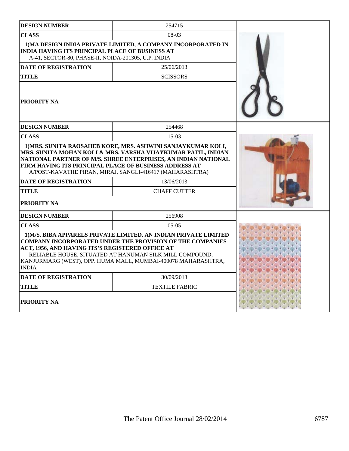| <b>DESIGN NUMBER</b>                                                                                          | 254715                                                                                                                                                                                                                                                           |  |
|---------------------------------------------------------------------------------------------------------------|------------------------------------------------------------------------------------------------------------------------------------------------------------------------------------------------------------------------------------------------------------------|--|
| <b>CLASS</b>                                                                                                  | $08-03$                                                                                                                                                                                                                                                          |  |
| <b>INDIA HAVING ITS PRINCIPAL PLACE OF BUSINESS AT</b><br>A-41, SECTOR-80, PHASE-II, NOIDA-201305, U.P. INDIA | 1) MA DESIGN INDIA PRIVATE LIMITED, A COMPANY INCORPORATED IN                                                                                                                                                                                                    |  |
| <b>DATE OF REGISTRATION</b>                                                                                   | 25/06/2013                                                                                                                                                                                                                                                       |  |
| <b>TITLE</b>                                                                                                  | <b>SCISSORS</b>                                                                                                                                                                                                                                                  |  |
| PRIORITY NA                                                                                                   |                                                                                                                                                                                                                                                                  |  |
| <b>DESIGN NUMBER</b>                                                                                          | 254468                                                                                                                                                                                                                                                           |  |
| <b>CLASS</b>                                                                                                  | $15-03$                                                                                                                                                                                                                                                          |  |
| FIRM HAVING ITS PRINCIPAL PLACE OF BUSINESS ADDRESS AT<br><b>DATE OF REGISTRATION</b>                         | A/POST-KAVATHE PIRAN, MIRAJ, SANGLI-416417 (MAHARASHTRA)<br>13/06/2013                                                                                                                                                                                           |  |
|                                                                                                               |                                                                                                                                                                                                                                                                  |  |
| TITLE                                                                                                         | <b>CHAFF CUTTER</b>                                                                                                                                                                                                                                              |  |
|                                                                                                               |                                                                                                                                                                                                                                                                  |  |
| PRIORITY NA                                                                                                   |                                                                                                                                                                                                                                                                  |  |
| <b>DESIGN NUMBER</b>                                                                                          | 256908                                                                                                                                                                                                                                                           |  |
| <b>CLASS</b>                                                                                                  | $0.5 - 0.5$                                                                                                                                                                                                                                                      |  |
| ACT, 1956, AND HAVING ITS'S REGISTERED OFFICE AT<br><b>INDIA</b>                                              | 1) M/S. BIBA APPARELS PRIVATE LIMITED, AN INDIAN PRIVATE LIMITED<br><b>COMPANY INCORPORATED UNDER THE PROVISION OF THE COMPANIES</b><br>RELIABLE HOUSE, SITUATED AT HANUMAN SILK MILL COMPOUND,<br>KANJURMARG (WEST), OPP. HUMA MALL, MUMBAI-400078 MAHARASHTRA, |  |
| DATE OF REGISTRATION                                                                                          | 30/09/2013                                                                                                                                                                                                                                                       |  |
| TITLE                                                                                                         | <b>TEXTILE FABRIC</b>                                                                                                                                                                                                                                            |  |
| <b>PRIORITY NA</b>                                                                                            |                                                                                                                                                                                                                                                                  |  |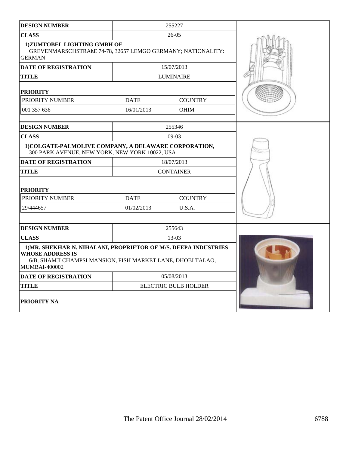| <b>DESIGN NUMBER</b>                                                                                                                                                              | 255227           |                             |  |
|-----------------------------------------------------------------------------------------------------------------------------------------------------------------------------------|------------------|-----------------------------|--|
| <b>CLASS</b>                                                                                                                                                                      |                  | $26 - 05$                   |  |
| 1)ZUMTOBEL LIGHTING GMBH OF<br>GREVENMARSCHSTRAßE 74-78, 32657 LEMGO GERMANY; NATIONALITY:<br><b>GERMAN</b>                                                                       |                  |                             |  |
| <b>DATE OF REGISTRATION</b>                                                                                                                                                       |                  | 15/07/2013                  |  |
| <b>TITLE</b>                                                                                                                                                                      |                  | <b>LUMINAIRE</b>            |  |
| <b>PRIORITY</b>                                                                                                                                                                   |                  |                             |  |
| PRIORITY NUMBER                                                                                                                                                                   | <b>DATE</b>      | <b>COUNTRY</b>              |  |
| 001 357 636                                                                                                                                                                       | 16/01/2013       | <b>OHIM</b>                 |  |
| <b>DESIGN NUMBER</b>                                                                                                                                                              |                  | 255346                      |  |
| <b>CLASS</b>                                                                                                                                                                      |                  | $09-03$                     |  |
| 1) COLGATE-PALMOLIVE COMPANY, A DELAWARE CORPORATION,<br>300 PARK AVENUE, NEW YORK, NEW YORK 10022, USA                                                                           |                  |                             |  |
| DATE OF REGISTRATION                                                                                                                                                              | 18/07/2013       |                             |  |
| TITLE                                                                                                                                                                             | <b>CONTAINER</b> |                             |  |
| <b>PRIORITY</b>                                                                                                                                                                   |                  |                             |  |
| PRIORITY NUMBER                                                                                                                                                                   | <b>DATE</b>      | <b>COUNTRY</b>              |  |
| 29/444657                                                                                                                                                                         | 01/02/2013       | U.S.A.                      |  |
|                                                                                                                                                                                   |                  |                             |  |
| <b>DESIGN NUMBER</b>                                                                                                                                                              |                  | 255643                      |  |
| <b>CLASS</b>                                                                                                                                                                      |                  | $13-03$                     |  |
| 1) MR. SHEKHAR N. NIHALANI, PROPRIETOR OF M/S. DEEPA INDUSTRIES<br><b>WHOSE ADDRESS IS</b><br>6/B, SHAMJI CHAMPSI MANSION, FISH MARKET LANE, DHOBI TALAO,<br><b>MUMBAI-400002</b> |                  |                             |  |
| <b>DATE OF REGISTRATION</b>                                                                                                                                                       | 05/08/2013       |                             |  |
| <b>TITLE</b>                                                                                                                                                                      |                  | <b>ELECTRIC BULB HOLDER</b> |  |
| PRIORITY NA                                                                                                                                                                       |                  |                             |  |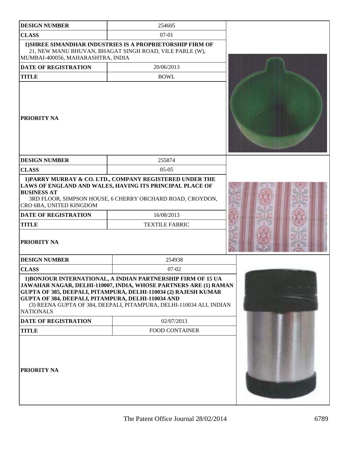| <b>DESIGN NUMBER</b>                                                                                        | 254605                                                                                                                                                                                                                                                                     |  |
|-------------------------------------------------------------------------------------------------------------|----------------------------------------------------------------------------------------------------------------------------------------------------------------------------------------------------------------------------------------------------------------------------|--|
| <b>CLASS</b>                                                                                                | $07-01$                                                                                                                                                                                                                                                                    |  |
| MUMBAI-400056, MAHARASHTRA, INDIA                                                                           | 1) SHREE SIMANDHAR INDUSTRIES IS A PROPRIETORSHIP FIRM OF<br>21, NEW MANU BHUVAN, BHAGAT SINGH ROAD, VILE PARLE (W),                                                                                                                                                       |  |
| <b>DATE OF REGISTRATION</b>                                                                                 | 20/06/2013                                                                                                                                                                                                                                                                 |  |
| <b>TITLE</b>                                                                                                | <b>BOWL</b>                                                                                                                                                                                                                                                                |  |
| PRIORITY NA                                                                                                 |                                                                                                                                                                                                                                                                            |  |
| <b>DESIGN NUMBER</b>                                                                                        | 255874                                                                                                                                                                                                                                                                     |  |
| <b>CLASS</b>                                                                                                | $05-05$                                                                                                                                                                                                                                                                    |  |
| <b>BUSINESS AT</b><br>CRO 6BA, UNITED KINGDOM<br><b>DATE OF REGISTRATION</b><br><b>TITLE</b><br>PRIORITY NA | 1) PARRY MURRAY & CO. LTD., COMPANY REGISTERED UNDER THE<br>LAWS OF ENGLAND AND WALES, HAVING ITS PRINCIPAL PLACE OF<br>3RD FLOOR, SIMPSON HOUSE, 6 CHERRY ORCHARD ROAD, CROYDON,<br>16/08/2013<br><b>TEXTILE FABRIC</b>                                                   |  |
|                                                                                                             |                                                                                                                                                                                                                                                                            |  |
| <b>DESIGN NUMBER</b>                                                                                        | 254938                                                                                                                                                                                                                                                                     |  |
| <b>CLASS</b>                                                                                                | $07-02$                                                                                                                                                                                                                                                                    |  |
| GUPTA OF 384, DEEPALI, PITAMPURA, DELHI-110034 AND<br><b>NATIONALS</b>                                      | 1) BONJOUR INTERNATIONAL, A INDIAN PARTNERSHIP FIRM OF 15 UA<br>JAWAHAR NAGAR, DELHI-110007, INDIA, WHOSE PARTNERS ARE (1) RAMAN<br>GUPTA OF 385, DEEPALI, PITAMPURA, DELHI-110034 (2) RAJESH KUMAR<br>(3) REENA GUPTA OF 384, DEEPALI, PITAMPURA, DELHI-110034 ALL INDIAN |  |
| <b>DATE OF REGISTRATION</b>                                                                                 | 02/07/2013                                                                                                                                                                                                                                                                 |  |
| <b>TITLE</b>                                                                                                | <b>FOOD CONTAINER</b>                                                                                                                                                                                                                                                      |  |
| PRIORITY NA                                                                                                 |                                                                                                                                                                                                                                                                            |  |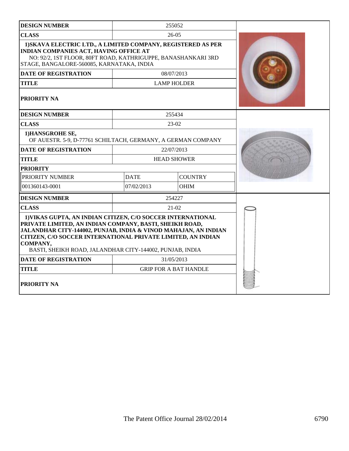| <b>DESIGN NUMBER</b>                                                                                                                                                                                                                                                                                                              |                               | 255052                       |  |
|-----------------------------------------------------------------------------------------------------------------------------------------------------------------------------------------------------------------------------------------------------------------------------------------------------------------------------------|-------------------------------|------------------------------|--|
| <b>CLASS</b>                                                                                                                                                                                                                                                                                                                      | $26-05$                       |                              |  |
| 1) SKAVA ELECTRIC LTD., A LIMITED COMPANY, REGISTERED AS PER<br><b>INDIAN COMPANIES ACT, HAVING OFFICE AT</b><br>NO: 92/2, 1ST FLOOR, 80FT ROAD, KATHRIGUPPE, BANASHANKARI 3RD<br>STAGE, BANGALORE-560085, KARNATAKA, INDIA                                                                                                       |                               |                              |  |
| <b>DATE OF REGISTRATION</b>                                                                                                                                                                                                                                                                                                       |                               | 08/07/2013                   |  |
| <b>TITLE</b>                                                                                                                                                                                                                                                                                                                      |                               | <b>LAMP HOLDER</b>           |  |
| <b>PRIORITY NA</b>                                                                                                                                                                                                                                                                                                                |                               |                              |  |
| <b>DESIGN NUMBER</b>                                                                                                                                                                                                                                                                                                              |                               | 255434                       |  |
| <b>CLASS</b>                                                                                                                                                                                                                                                                                                                      |                               | 23-02                        |  |
| 1) HANSGROHE SE,<br>OF AUESTR. 5-9, D-77761 SCHILTACH, GERMANY, A GERMAN COMPANY                                                                                                                                                                                                                                                  |                               |                              |  |
| <b>DATE OF REGISTRATION</b>                                                                                                                                                                                                                                                                                                       | 22/07/2013                    |                              |  |
| <b>TITLE</b>                                                                                                                                                                                                                                                                                                                      | <b>HEAD SHOWER</b>            |                              |  |
| <b>PRIORITY</b>                                                                                                                                                                                                                                                                                                                   |                               |                              |  |
| PRIORITY NUMBER                                                                                                                                                                                                                                                                                                                   | <b>COUNTRY</b><br><b>DATE</b> |                              |  |
| 001360143-0001                                                                                                                                                                                                                                                                                                                    | 07/02/2013                    | <b>OHIM</b>                  |  |
| <b>DESIGN NUMBER</b>                                                                                                                                                                                                                                                                                                              |                               | 254227                       |  |
| <b>CLASS</b>                                                                                                                                                                                                                                                                                                                      |                               | $21 - 02$                    |  |
| 1) VIKAS GUPTA, AN INDIAN CITIZEN, C/O SOCCER INTERNATIONAL<br>PRIVATE LIMITED, AN INDIAN COMPANY, BASTI, SHEIKH ROAD,<br>JALANDHAR CITY-144002, PUNJAB, INDIA & VINOD MAHAJAN, AN INDIAN<br>CITIZEN, C/O SOCCER INTERNATIONAL PRIVATE LIMITED, AN INDIAN<br>COMPANY,<br>BASTI, SHEIKH ROAD, JALANDHAR CITY-144002, PUNJAB, INDIA |                               |                              |  |
| <b>DATE OF REGISTRATION</b>                                                                                                                                                                                                                                                                                                       | 31/05/2013                    |                              |  |
| <b>TITLE</b>                                                                                                                                                                                                                                                                                                                      |                               | <b>GRIP FOR A BAT HANDLE</b> |  |
| <b>PRIORITY NA</b>                                                                                                                                                                                                                                                                                                                |                               |                              |  |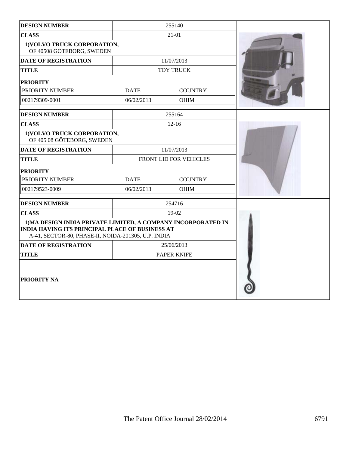| <b>DESIGN NUMBER</b>                                                                                                                                                           |                        | 255140           |  |
|--------------------------------------------------------------------------------------------------------------------------------------------------------------------------------|------------------------|------------------|--|
| <b>CLASS</b>                                                                                                                                                                   | 21-01                  |                  |  |
| 1) VOLVO TRUCK CORPORATION,<br>OF 40508 GOTEBORG, SWEDEN                                                                                                                       |                        |                  |  |
| <b>DATE OF REGISTRATION</b>                                                                                                                                                    |                        | 11/07/2013       |  |
| <b>TITLE</b>                                                                                                                                                                   |                        | <b>TOY TRUCK</b> |  |
| <b>PRIORITY</b>                                                                                                                                                                |                        |                  |  |
| PRIORITY NUMBER                                                                                                                                                                | <b>DATE</b>            | <b>COUNTRY</b>   |  |
| 002179309-0001                                                                                                                                                                 | 06/02/2013             | <b>OHIM</b>      |  |
| <b>DESIGN NUMBER</b>                                                                                                                                                           |                        | 255164           |  |
| <b>CLASS</b>                                                                                                                                                                   |                        | $12 - 16$        |  |
| 1) VOLVO TRUCK CORPORATION,<br>OF 405 08 GÖTEBORG, SWEDEN                                                                                                                      |                        |                  |  |
| <b>DATE OF REGISTRATION</b>                                                                                                                                                    | 11/07/2013             |                  |  |
| <b>TITLE</b>                                                                                                                                                                   | FRONT LID FOR VEHICLES |                  |  |
| <b>PRIORITY</b>                                                                                                                                                                |                        |                  |  |
| PRIORITY NUMBER                                                                                                                                                                | <b>DATE</b>            | <b>COUNTRY</b>   |  |
| 002179523-0009                                                                                                                                                                 | 06/02/2013             | <b>OHIM</b>      |  |
| <b>DESIGN NUMBER</b>                                                                                                                                                           |                        | 254716           |  |
| <b>CLASS</b>                                                                                                                                                                   | $19-02$                |                  |  |
| 1) MA DESIGN INDIA PRIVATE LIMITED, A COMPANY INCORPORATED IN<br><b>INDIA HAVING ITS PRINCIPAL PLACE OF BUSINESS AT</b><br>A-41, SECTOR-80, PHASE-II, NOIDA-201305, U.P. INDIA |                        |                  |  |
| <b>DATE OF REGISTRATION</b>                                                                                                                                                    | 25/06/2013             |                  |  |
| <b>TITLE</b>                                                                                                                                                                   | <b>PAPER KNIFE</b>     |                  |  |
| PRIORITY NA                                                                                                                                                                    |                        |                  |  |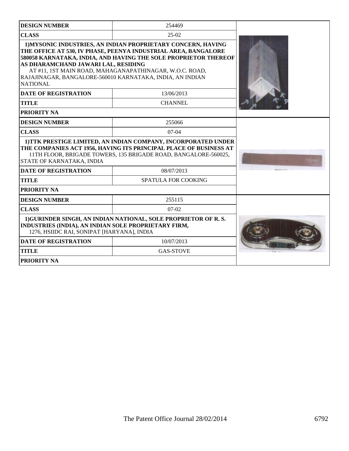| <b>DESIGN NUMBER</b>                                                                                                                                                                                                                | 254469                                                                                                                                                                                                                                                       |  |
|-------------------------------------------------------------------------------------------------------------------------------------------------------------------------------------------------------------------------------------|--------------------------------------------------------------------------------------------------------------------------------------------------------------------------------------------------------------------------------------------------------------|--|
| <b>CLASS</b>                                                                                                                                                                                                                        | $25-02$                                                                                                                                                                                                                                                      |  |
| AS DHARAMCHAND JAWARI LAL, RESIDING<br>RAJAJINAGAR, BANGALORE-560010 KARNATAKA, INDIA, AN INDIAN<br><b>NATIONAL</b>                                                                                                                 | 1) MYSONIC INDUSTRIES, AN INDIAN PROPRIETARY CONCERN, HAVING<br>THE OFFICE AT 530, IV PHASE, PEENYA INDUSTRIAL AREA, BANGALORE<br>580058 KARNATAKA, INDIA, AND HAVING THE SOLE PROPRIETOR THEREOF<br>AT #11, 1ST MAIN ROAD, MAHAGANAPATHINAGAR, W.O.C. ROAD, |  |
| <b>DATE OF REGISTRATION</b>                                                                                                                                                                                                         | 13/06/2013                                                                                                                                                                                                                                                   |  |
| <b>TITLE</b>                                                                                                                                                                                                                        | <b>CHANNEL</b>                                                                                                                                                                                                                                               |  |
| <b>PRIORITY NA</b>                                                                                                                                                                                                                  |                                                                                                                                                                                                                                                              |  |
| <b>DESIGN NUMBER</b>                                                                                                                                                                                                                | 255066                                                                                                                                                                                                                                                       |  |
| <b>CLASS</b>                                                                                                                                                                                                                        | $07-04$                                                                                                                                                                                                                                                      |  |
| 1) TTK PRESTIGE LIMITED, AN INDIAN COMPANY, INCORPORATED UNDER<br>THE COMPANIES ACT 1956, HAVING ITS PRINCIPAL PLACE OF BUSINESS AT<br>11TH FLOOR, BRIGADE TOWERS, 135 BRIGADE ROAD, BANGALORE-560025,<br>STATE OF KARNATAKA, INDIA |                                                                                                                                                                                                                                                              |  |
| <b>DATE OF REGISTRATION</b>                                                                                                                                                                                                         | 08/07/2013                                                                                                                                                                                                                                                   |  |
| <b>TITLE</b>                                                                                                                                                                                                                        | <b>SPATULA FOR COOKING</b>                                                                                                                                                                                                                                   |  |
| <b>PRIORITY NA</b>                                                                                                                                                                                                                  |                                                                                                                                                                                                                                                              |  |
| <b>DESIGN NUMBER</b>                                                                                                                                                                                                                | 255115                                                                                                                                                                                                                                                       |  |
| <b>CLASS</b>                                                                                                                                                                                                                        | $07-02$                                                                                                                                                                                                                                                      |  |
| 1) GURINDER SINGH, AN INDIAN NATIONAL, SOLE PROPRIETOR OF R.S.<br>INDUSTRIES (INDIA), AN INDIAN SOLE PROPRIETARY FIRM,<br>1276, HSIIDC RAI, SONIPAT [HARYANA], INDIA                                                                |                                                                                                                                                                                                                                                              |  |
| <b>DATE OF REGISTRATION</b>                                                                                                                                                                                                         | 10/07/2013                                                                                                                                                                                                                                                   |  |
| <b>TITLE</b>                                                                                                                                                                                                                        | <b>GAS-STOVE</b>                                                                                                                                                                                                                                             |  |
| <b>PRIORITY NA</b>                                                                                                                                                                                                                  |                                                                                                                                                                                                                                                              |  |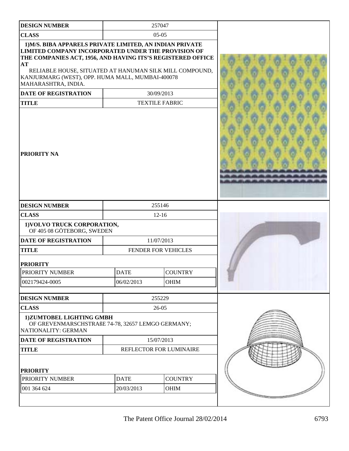| <b>DESIGN NUMBER</b>                                                                                                                                                                                                                                                                                                       |             | 257047                  |  |
|----------------------------------------------------------------------------------------------------------------------------------------------------------------------------------------------------------------------------------------------------------------------------------------------------------------------------|-------------|-------------------------|--|
| <b>CLASS</b>                                                                                                                                                                                                                                                                                                               |             | $05-05$                 |  |
| 1) M/S. BIBA APPARELS PRIVATE LIMITED, AN INDIAN PRIVATE<br>LIMITED COMPANY INCORPORATED UNDER THE PROVISION OF<br>THE COMPANIES ACT, 1956, AND HAVING ITS'S REGISTERED OFFICE<br>AT<br>RELIABLE HOUSE, SITUATED AT HANUMAN SILK MILL COMPOUND,<br>KANJURMARG (WEST), OPP. HUMA MALL, MUMBAI-400078<br>MAHARASHTRA, INDIA. |             |                         |  |
| <b>DATE OF REGISTRATION</b>                                                                                                                                                                                                                                                                                                |             | 30/09/2013              |  |
| <b>TITLE</b>                                                                                                                                                                                                                                                                                                               |             | <b>TEXTILE FABRIC</b>   |  |
| PRIORITY NA                                                                                                                                                                                                                                                                                                                |             |                         |  |
| <b>DESIGN NUMBER</b>                                                                                                                                                                                                                                                                                                       | 255146      |                         |  |
| <b>CLASS</b>                                                                                                                                                                                                                                                                                                               |             | $12 - 16$               |  |
| 1) VOLVO TRUCK CORPORATION,<br>OF 405 08 GÖTEBORG, SWEDEN                                                                                                                                                                                                                                                                  |             |                         |  |
| <b>DATE OF REGISTRATION</b>                                                                                                                                                                                                                                                                                                |             | 11/07/2013              |  |
| <b>TITLE</b>                                                                                                                                                                                                                                                                                                               |             | FENDER FOR VEHICLES     |  |
| <b>PRIORITY</b>                                                                                                                                                                                                                                                                                                            |             |                         |  |
| PRIORITY NUMBER                                                                                                                                                                                                                                                                                                            | <b>DATE</b> | <b>COUNTRY</b>          |  |
| 002179424-0005                                                                                                                                                                                                                                                                                                             | 06/02/2013  | <b>OHIM</b>             |  |
|                                                                                                                                                                                                                                                                                                                            |             |                         |  |
| <b>DESIGN NUMBER</b>                                                                                                                                                                                                                                                                                                       |             | 255229                  |  |
| <b>CLASS</b>                                                                                                                                                                                                                                                                                                               |             | 26-05                   |  |
| 1)ZUMTOBEL LIGHTING GMBH<br>OF GREVENMARSCHSTRAßE 74-78, 32657 LEMGO GERMANY;<br>NATIONALITY: GERMAN                                                                                                                                                                                                                       |             |                         |  |
| DATE OF REGISTRATION                                                                                                                                                                                                                                                                                                       | 15/07/2013  |                         |  |
|                                                                                                                                                                                                                                                                                                                            |             | REFLECTOR FOR LUMINAIRE |  |
| <b>TITLE</b>                                                                                                                                                                                                                                                                                                               |             |                         |  |
| <b>PRIORITY</b>                                                                                                                                                                                                                                                                                                            |             |                         |  |
| PRIORITY NUMBER                                                                                                                                                                                                                                                                                                            | <b>DATE</b> | <b>COUNTRY</b>          |  |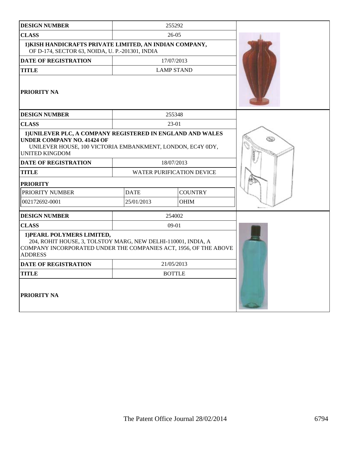| <b>DESIGN NUMBER</b>                                                                                                                                                                   |                                  | 255292            |   |
|----------------------------------------------------------------------------------------------------------------------------------------------------------------------------------------|----------------------------------|-------------------|---|
| <b>CLASS</b>                                                                                                                                                                           | $26-05$                          |                   |   |
| 1) KISH HANDICRAFTS PRIVATE LIMITED, AN INDIAN COMPANY,<br>OF D-174, SECTOR 63, NOIDA, U. P.-201301, INDIA                                                                             |                                  |                   |   |
| <b>DATE OF REGISTRATION</b>                                                                                                                                                            | 17/07/2013                       |                   |   |
| <b>TITLE</b>                                                                                                                                                                           |                                  | <b>LAMP STAND</b> |   |
| <b>PRIORITY NA</b>                                                                                                                                                                     |                                  |                   |   |
| <b>DESIGN NUMBER</b>                                                                                                                                                                   |                                  | 255348            |   |
| <b>CLASS</b>                                                                                                                                                                           |                                  | $23-01$           |   |
| 1) UNILEVER PLC, A COMPANY REGISTERED IN ENGLAND AND WALES<br><b>UNDER COMPANY NO. 41424 OF</b><br>UNILEVER HOUSE, 100 VICTORIA EMBANKMENT, LONDON, EC4Y 0DY,<br><b>UNITED KINGDOM</b> |                                  |                   | ی |
| <b>DATE OF REGISTRATION</b>                                                                                                                                                            | 18/07/2013                       |                   |   |
| <b>TITLE</b>                                                                                                                                                                           | <b>WATER PURIFICATION DEVICE</b> |                   |   |
| <b>PRIORITY</b>                                                                                                                                                                        |                                  |                   |   |
| PRIORITY NUMBER                                                                                                                                                                        | <b>COUNTRY</b><br><b>DATE</b>    |                   |   |
| 002172692-0001                                                                                                                                                                         | 25/01/2013                       | <b>OHIM</b>       |   |
| <b>DESIGN NUMBER</b>                                                                                                                                                                   |                                  | 254002            |   |
| <b>CLASS</b>                                                                                                                                                                           |                                  | $09-01$           |   |
| 1) PEARL POLYMERS LIMITED,<br>204, ROHIT HOUSE, 3, TOLSTOY MARG, NEW DELHI-110001, INDIA, A<br>COMPANY INCORPORATED UNDER THE COMPANIES ACT, 1956, OF THE ABOVE<br><b>ADDRESS</b>      |                                  |                   |   |
| <b>DATE OF REGISTRATION</b>                                                                                                                                                            | 21/05/2013                       |                   |   |
| <b>TITLE</b>                                                                                                                                                                           | <b>BOTTLE</b>                    |                   |   |
| <b>PRIORITY NA</b>                                                                                                                                                                     |                                  |                   |   |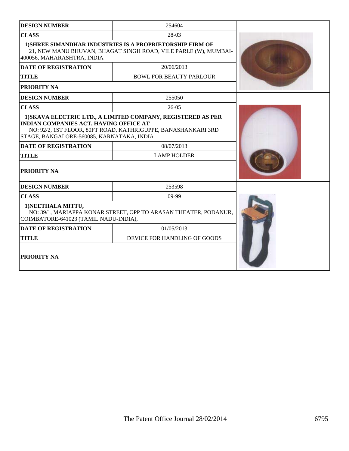| <b>DESIGN NUMBER</b>                                                                | 254604                                                                                                                              |  |
|-------------------------------------------------------------------------------------|-------------------------------------------------------------------------------------------------------------------------------------|--|
| <b>CLASS</b>                                                                        | 28-03                                                                                                                               |  |
| 400056, MAHARASHTRA, INDIA                                                          | <b>1) SHREE SIMANDHAR INDUSTRIES IS A PROPRIETORSHIP FIRM OF</b><br>21, NEW MANU BHUVAN, BHAGAT SINGH ROAD, VILE PARLE (W), MUMBAI- |  |
| <b>DATE OF REGISTRATION</b>                                                         | 20/06/2013                                                                                                                          |  |
| <b>TITLE</b>                                                                        | <b>BOWL FOR BEAUTY PARLOUR</b>                                                                                                      |  |
| PRIORITY NA                                                                         |                                                                                                                                     |  |
| <b>DESIGN NUMBER</b>                                                                | 255050                                                                                                                              |  |
| <b>CLASS</b>                                                                        | $26 - 05$                                                                                                                           |  |
| INDIAN COMPANIES ACT, HAVING OFFICE AT<br>STAGE, BANGALORE-560085, KARNATAKA, INDIA | 1) SKAVA ELECTRIC LTD., A LIMITED COMPANY, REGISTERED AS PER<br>NO: 92/2, 1ST FLOOR, 80FT ROAD, KATHRIGUPPE, BANASHANKARI 3RD       |  |
| <b>DATE OF REGISTRATION</b>                                                         | 08/07/2013                                                                                                                          |  |
| <b>TITLE</b>                                                                        | <b>LAMP HOLDER</b>                                                                                                                  |  |
| PRIORITY NA                                                                         |                                                                                                                                     |  |
| <b>DESIGN NUMBER</b>                                                                | 253598                                                                                                                              |  |
| <b>CLASS</b>                                                                        | $09-99$                                                                                                                             |  |
| 1) NEETHALA MITTU,<br>COIMBATORE-641023 (TAMIL NADU-INDIA),                         | NO: 39/1, MARIAPPA KONAR STREET, OPP TO ARASAN THEATER, PODANUR,                                                                    |  |
| <b>DATE OF REGISTRATION</b>                                                         | 01/05/2013                                                                                                                          |  |
| <b>TITLE</b>                                                                        | DEVICE FOR HANDLING OF GOODS                                                                                                        |  |
| PRIORITY NA                                                                         |                                                                                                                                     |  |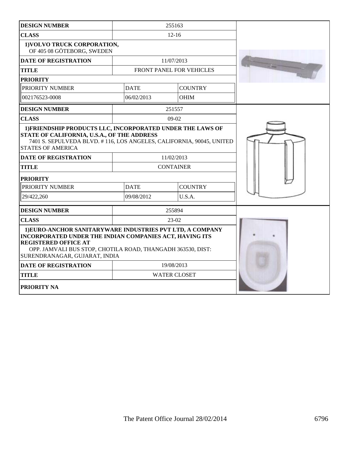| <b>DESIGN NUMBER</b>                                                                                                                                                                                                                                |                               | 255163                   |  |
|-----------------------------------------------------------------------------------------------------------------------------------------------------------------------------------------------------------------------------------------------------|-------------------------------|--------------------------|--|
| <b>CLASS</b>                                                                                                                                                                                                                                        | $12 - 16$                     |                          |  |
| 1) VOLVO TRUCK CORPORATION,<br>OF 405 08 GÖTEBORG, SWEDEN                                                                                                                                                                                           |                               |                          |  |
| <b>DATE OF REGISTRATION</b>                                                                                                                                                                                                                         |                               | 11/07/2013               |  |
| <b>TITLE</b>                                                                                                                                                                                                                                        |                               | FRONT PANEL FOR VEHICLES |  |
| <b>PRIORITY</b>                                                                                                                                                                                                                                     |                               |                          |  |
| PRIORITY NUMBER                                                                                                                                                                                                                                     | <b>DATE</b>                   | <b>COUNTRY</b>           |  |
| 002176523-0008                                                                                                                                                                                                                                      | 06/02/2013                    | <b>OHIM</b>              |  |
| <b>DESIGN NUMBER</b>                                                                                                                                                                                                                                |                               | 251557                   |  |
| <b>CLASS</b>                                                                                                                                                                                                                                        |                               | $09-02$                  |  |
| 1) FRIENDSHIP PRODUCTS LLC, INCORPORATED UNDER THE LAWS OF<br>STATE OF CALIFORNIA, U.S.A., OF THE ADDRESS<br>7401 S. SEPULVEDA BLVD. #116, LOS ANGELES, CALIFORNIA, 90045, UNITED<br><b>STATES OF AMERICA</b><br>11/02/2013                         |                               |                          |  |
| <b>DATE OF REGISTRATION</b>                                                                                                                                                                                                                         | <b>CONTAINER</b>              |                          |  |
| <b>TITLE</b>                                                                                                                                                                                                                                        |                               |                          |  |
| <b>PRIORITY</b>                                                                                                                                                                                                                                     |                               |                          |  |
| PRIORITY NUMBER                                                                                                                                                                                                                                     | <b>COUNTRY</b><br><b>DATE</b> |                          |  |
| 29/422,260                                                                                                                                                                                                                                          | 09/08/2012<br>U.S.A.          |                          |  |
| <b>DESIGN NUMBER</b>                                                                                                                                                                                                                                |                               | 255894                   |  |
| <b>CLASS</b>                                                                                                                                                                                                                                        |                               | 23-02                    |  |
| 1) EURO-ANCHOR SANITARYWARE INDUSTRIES PVT LTD, A COMPANY<br>INCORPORATED UNDER THE INDIAN COMPANIES ACT, HAVING ITS<br><b>REGISTERED OFFICE AT</b><br>OPP. JAMVALI BUS STOP, CHOTILA ROAD, THANGADH 363530, DIST:<br>SURENDRANAGAR, GUJARAT, INDIA |                               |                          |  |
| <b>DATE OF REGISTRATION</b>                                                                                                                                                                                                                         | 19/08/2013                    |                          |  |
| <b>TITLE</b>                                                                                                                                                                                                                                        |                               | <b>WATER CLOSET</b>      |  |
| PRIORITY NA                                                                                                                                                                                                                                         |                               |                          |  |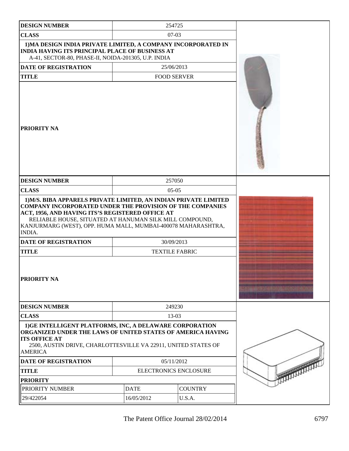| <b>DESIGN NUMBER</b>                                                                                                                                                                                                                                                                                                                                          |                               | 254725             |  |
|---------------------------------------------------------------------------------------------------------------------------------------------------------------------------------------------------------------------------------------------------------------------------------------------------------------------------------------------------------------|-------------------------------|--------------------|--|
| <b>CLASS</b>                                                                                                                                                                                                                                                                                                                                                  |                               | $07-03$            |  |
| 1) MA DESIGN INDIA PRIVATE LIMITED, A COMPANY INCORPORATED IN<br><b>INDIA HAVING ITS PRINCIPAL PLACE OF BUSINESS AT</b><br>A-41, SECTOR-80, PHASE-II, NOIDA-201305, U.P. INDIA                                                                                                                                                                                |                               |                    |  |
| <b>DATE OF REGISTRATION</b>                                                                                                                                                                                                                                                                                                                                   |                               | 25/06/2013         |  |
| <b>TITLE</b>                                                                                                                                                                                                                                                                                                                                                  |                               | <b>FOOD SERVER</b> |  |
| <b>PRIORITY NA</b>                                                                                                                                                                                                                                                                                                                                            |                               |                    |  |
| <b>DESIGN NUMBER</b>                                                                                                                                                                                                                                                                                                                                          |                               | 257050             |  |
| <b>CLASS</b>                                                                                                                                                                                                                                                                                                                                                  |                               | $05-05$            |  |
| 1) M/S. BIBA APPARELS PRIVATE LIMITED, AN INDIAN PRIVATE LIMITED<br><b>COMPANY INCORPORATED UNDER THE PROVISION OF THE COMPANIES</b><br>ACT, 1956, AND HAVING ITS'S REGISTERED OFFICE AT<br>RELIABLE HOUSE, SITUATED AT HANUMAN SILK MILL COMPOUND,<br>KANJURMARG (WEST), OPP. HUMA MALL, MUMBAI-400078 MAHARASHTRA,<br>INDIA.<br><b>DATE OF REGISTRATION</b> |                               | 30/09/2013         |  |
| <b>TITLE</b>                                                                                                                                                                                                                                                                                                                                                  | <b>TEXTILE FABRIC</b>         |                    |  |
| PRIORITY NA                                                                                                                                                                                                                                                                                                                                                   |                               |                    |  |
| <b>DESIGN NUMBER</b>                                                                                                                                                                                                                                                                                                                                          |                               | 249230             |  |
| <b>CLASS</b>                                                                                                                                                                                                                                                                                                                                                  | $13-03$                       |                    |  |
| 1) GE INTELLIGENT PLATFORMS, INC, A DELAWARE CORPORATION<br>ORGANIZED UNDER THE LAWS OF UNITED STATES OF AMERICA HAVING<br><b>ITS OFFICE AT</b><br>2500, AUSTIN DRIVE, CHARLOTTESVILLE VA 22911, UNITED STATES OF<br><b>AMERICA</b>                                                                                                                           |                               |                    |  |
| <b>DATE OF REGISTRATION</b>                                                                                                                                                                                                                                                                                                                                   | 05/11/2012                    |                    |  |
| <b>TITLE</b>                                                                                                                                                                                                                                                                                                                                                  | <b>ELECTRONICS ENCLOSURE</b>  |                    |  |
| <b>PRIORITY</b>                                                                                                                                                                                                                                                                                                                                               |                               |                    |  |
| PRIORITY NUMBER                                                                                                                                                                                                                                                                                                                                               | <b>DATE</b><br><b>COUNTRY</b> |                    |  |
| 29/422054                                                                                                                                                                                                                                                                                                                                                     | 16/05/2012<br>U.S.A.          |                    |  |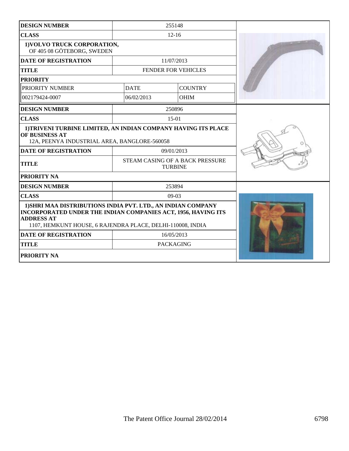| <b>DESIGN NUMBER</b>                                                                                                                                                                                             | 255148                                            |                            |  |
|------------------------------------------------------------------------------------------------------------------------------------------------------------------------------------------------------------------|---------------------------------------------------|----------------------------|--|
| <b>CLASS</b>                                                                                                                                                                                                     | $12 - 16$                                         |                            |  |
| 1) VOLVO TRUCK CORPORATION,<br>OF 405 08 GÖTEBORG, SWEDEN                                                                                                                                                        |                                                   |                            |  |
| <b>DATE OF REGISTRATION</b>                                                                                                                                                                                      |                                                   | 11/07/2013                 |  |
| <b>TITLE</b>                                                                                                                                                                                                     |                                                   | <b>FENDER FOR VEHICLES</b> |  |
| <b>PRIORITY</b>                                                                                                                                                                                                  |                                                   |                            |  |
| PRIORITY NUMBER                                                                                                                                                                                                  | <b>DATE</b>                                       | <b>COUNTRY</b>             |  |
| 002179424-0007                                                                                                                                                                                                   | 06/02/2013                                        | <b>OHIM</b>                |  |
| <b>DESIGN NUMBER</b>                                                                                                                                                                                             |                                                   | 250896                     |  |
| <b>CLASS</b>                                                                                                                                                                                                     |                                                   | $15-01$                    |  |
| 1) TRIVENI TURBINE LIMITED, AN INDIAN COMPANY HAVING ITS PLACE<br>OF BUSINESS AT<br>12A, PEENYA INDUSTRIAL AREA, BANGLORE-560058                                                                                 |                                                   |                            |  |
| <b>DATE OF REGISTRATION</b>                                                                                                                                                                                      | 09/01/2013                                        |                            |  |
| <b>TITLE</b>                                                                                                                                                                                                     | STEAM CASING OF A BACK PRESSURE<br><b>TURBINE</b> |                            |  |
| <b>PRIORITY NA</b>                                                                                                                                                                                               |                                                   |                            |  |
| <b>DESIGN NUMBER</b>                                                                                                                                                                                             | 253894                                            |                            |  |
| <b>CLASS</b>                                                                                                                                                                                                     | $09-03$                                           |                            |  |
| 1) SHRI MAA DISTRIBUTIONS INDIA PVT. LTD., AN INDIAN COMPANY<br>INCORPORATED UNDER THE INDIAN COMPANIES ACT, 1956, HAVING ITS<br><b>ADDRESS AT</b><br>1107, HEMKUNT HOUSE, 6 RAJENDRA PLACE, DELHI-110008, INDIA |                                                   |                            |  |
| <b>DATE OF REGISTRATION</b>                                                                                                                                                                                      |                                                   | 16/05/2013                 |  |
| <b>TITLE</b>                                                                                                                                                                                                     |                                                   | <b>PACKAGING</b>           |  |
| <b>PRIORITY NA</b>                                                                                                                                                                                               |                                                   |                            |  |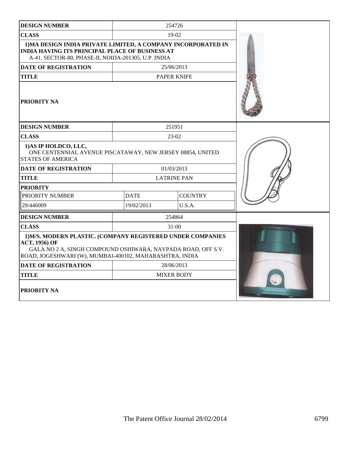| <b>DESIGN NUMBER</b>                                                                                                                                                                                           |                    | 254726             |  |
|----------------------------------------------------------------------------------------------------------------------------------------------------------------------------------------------------------------|--------------------|--------------------|--|
| <b>CLASS</b>                                                                                                                                                                                                   | 19-02              |                    |  |
| 1) MA DESIGN INDIA PRIVATE LIMITED, A COMPANY INCORPORATED IN<br><b>INDIA HAVING ITS PRINCIPAL PLACE OF BUSINESS AT</b><br>A-41, SECTOR-80, PHASE-II, NOIDA-201305, U.P. INDIA                                 |                    |                    |  |
| <b>DATE OF REGISTRATION</b>                                                                                                                                                                                    |                    | 25/06/2013         |  |
| <b>TITLE</b>                                                                                                                                                                                                   |                    | <b>PAPER KNIFE</b> |  |
| <b>PRIORITY NA</b>                                                                                                                                                                                             |                    |                    |  |
| <b>DESIGN NUMBER</b>                                                                                                                                                                                           |                    | 251951             |  |
| <b>CLASS</b>                                                                                                                                                                                                   |                    | 23-02              |  |
| 1) AS IP HOLDCO, LLC,<br>ONE CENTENNIAL AVENUE PISCATAWAY, NEW JERSEY 08854, UNITED<br><b>STATES OF AMERICA</b>                                                                                                |                    |                    |  |
| <b>DATE OF REGISTRATION</b>                                                                                                                                                                                    | 01/03/2013         |                    |  |
| <b>TITLE</b>                                                                                                                                                                                                   | <b>LATRINE PAN</b> |                    |  |
| <b>PRIORITY</b>                                                                                                                                                                                                |                    |                    |  |
| PRIORITY NUMBER                                                                                                                                                                                                | <b>DATE</b>        | <b>COUNTRY</b>     |  |
| 29/446009                                                                                                                                                                                                      | 19/02/2013         | U.S.A.             |  |
| <b>DESIGN NUMBER</b>                                                                                                                                                                                           |                    | 254864             |  |
| <b>CLASS</b>                                                                                                                                                                                                   |                    | $31 - 00$          |  |
| 1) M/S. MODERN PLASTIC. (COMPANY REGISTERED UNDER COMPANIES<br><b>ACT, 1956) OF</b><br>GALA NO 2 A, SINGH COMPOUND OSHIWARA, NAVPADA ROAD, OFF S.V.<br>ROAD, JOGESHWARI (W), MUMBAI-400102, MAHARASHTRA, INDIA |                    |                    |  |
| <b>DATE OF REGISTRATION</b>                                                                                                                                                                                    | 28/06/2013         |                    |  |
| <b>TITLE</b>                                                                                                                                                                                                   | <b>MIXER BODY</b>  |                    |  |
| PRIORITY NA                                                                                                                                                                                                    |                    |                    |  |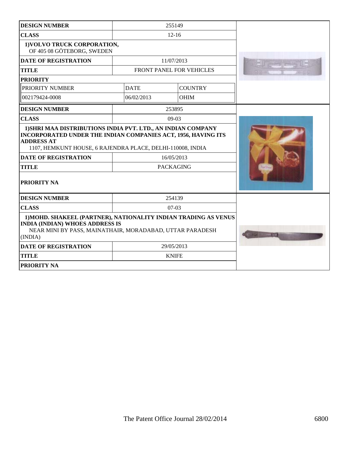| <b>DESIGN NUMBER</b>                                                                                                                                                             | 255149                                                                                                                                                                                                                        |                          |  |
|----------------------------------------------------------------------------------------------------------------------------------------------------------------------------------|-------------------------------------------------------------------------------------------------------------------------------------------------------------------------------------------------------------------------------|--------------------------|--|
| <b>CLASS</b>                                                                                                                                                                     | $12 - 16$                                                                                                                                                                                                                     |                          |  |
| 1) VOLVO TRUCK CORPORATION,<br>OF 405 08 GÖTEBORG, SWEDEN                                                                                                                        |                                                                                                                                                                                                                               |                          |  |
| <b>DATE OF REGISTRATION</b>                                                                                                                                                      |                                                                                                                                                                                                                               | 11/07/2013               |  |
| <b>TITLE</b>                                                                                                                                                                     |                                                                                                                                                                                                                               | FRONT PANEL FOR VEHICLES |  |
| <b>PRIORITY</b>                                                                                                                                                                  |                                                                                                                                                                                                                               |                          |  |
| PRIORITY NUMBER                                                                                                                                                                  | <b>DATE</b>                                                                                                                                                                                                                   | <b>COUNTRY</b>           |  |
| 002179424-0008                                                                                                                                                                   | 06/02/2013                                                                                                                                                                                                                    | <b>OHIM</b>              |  |
| <b>DESIGN NUMBER</b>                                                                                                                                                             |                                                                                                                                                                                                                               | 253895                   |  |
| <b>CLASS</b>                                                                                                                                                                     |                                                                                                                                                                                                                               | $09-03$                  |  |
| <b>ADDRESS AT</b><br><b>DATE OF REGISTRATION</b><br><b>TITLE</b>                                                                                                                 | 1) SHRI MAA DISTRIBUTIONS INDIA PVT. LTD., AN INDIAN COMPANY<br>INCORPORATED UNDER THE INDIAN COMPANIES ACT, 1956, HAVING ITS<br>1107, HEMKUNT HOUSE, 6 RAJENDRA PLACE, DELHI-110008, INDIA<br>16/05/2013<br><b>PACKAGING</b> |                          |  |
| <b>PRIORITY NA</b>                                                                                                                                                               |                                                                                                                                                                                                                               |                          |  |
| <b>DESIGN NUMBER</b>                                                                                                                                                             |                                                                                                                                                                                                                               | 254139                   |  |
| <b>CLASS</b>                                                                                                                                                                     | $07-03$                                                                                                                                                                                                                       |                          |  |
| 1) MOHD. SHAKEEL (PARTNER), NATIONALITY INDIAN TRADING AS VENUS<br><b>INDIA (INDIAN) WHOES ADDRESS IS</b><br>NEAR MINI BY PASS, MAINATHAIR, MORADABAD, UTTAR PARADESH<br>(INDIA) |                                                                                                                                                                                                                               |                          |  |
| <b>DATE OF REGISTRATION</b>                                                                                                                                                      |                                                                                                                                                                                                                               | 29/05/2013               |  |
| <b>TITLE</b>                                                                                                                                                                     |                                                                                                                                                                                                                               | <b>KNIFE</b>             |  |
| <b>PRIORITY NA</b>                                                                                                                                                               |                                                                                                                                                                                                                               |                          |  |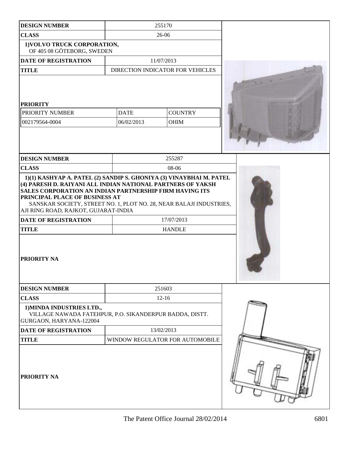| <b>DESIGN NUMBER</b>                                                                                                                                                | 255170                                                                                                                                                                                                                                                                                                               |  |
|---------------------------------------------------------------------------------------------------------------------------------------------------------------------|----------------------------------------------------------------------------------------------------------------------------------------------------------------------------------------------------------------------------------------------------------------------------------------------------------------------|--|
| <b>CLASS</b>                                                                                                                                                        | 26-06                                                                                                                                                                                                                                                                                                                |  |
| 1) VOLVO TRUCK CORPORATION,<br>OF 405 08 GÖTEBORG, SWEDEN                                                                                                           |                                                                                                                                                                                                                                                                                                                      |  |
| <b>DATE OF REGISTRATION</b>                                                                                                                                         | 11/07/2013                                                                                                                                                                                                                                                                                                           |  |
| <b>TITLE</b>                                                                                                                                                        | DIRECTION INDICATOR FOR VEHICLES                                                                                                                                                                                                                                                                                     |  |
| <b>PRIORITY</b><br>PRIORITY NUMBER<br>002179564-0004                                                                                                                | <b>COUNTRY</b><br><b>DATE</b><br>06/02/2013<br>OHIM                                                                                                                                                                                                                                                                  |  |
| <b>DESIGN NUMBER</b>                                                                                                                                                | 255287                                                                                                                                                                                                                                                                                                               |  |
| <b>CLASS</b>                                                                                                                                                        | 08-06                                                                                                                                                                                                                                                                                                                |  |
| PRINCIPAL PLACE OF BUSINESS AT<br>AJI RING ROAD, RAJKOT, GUJARAT-INDIA<br><b>DATE OF REGISTRATION</b><br><b>TITLE</b><br><b>PRIORITY NA</b><br><b>DESIGN NUMBER</b> | 1)(1) KASHYAP A. PATEL (2) SANDIP S. GHONIYA (3) VINAYBHAI M. PATEL<br>(4) PARESH D. RAIYANI ALL INDIAN NATIONAL PARTNERS OF YAKSH<br><b>SALES CORPORATION AN INDIAN PARTNERSHIP FIRM HAVING ITS</b><br>SANSKAR SOCIETY, STREET NO. 1, PLOT NO. 28, NEAR BALAJI INDUSTRIES,<br>17/07/2013<br><b>HANDLE</b><br>251603 |  |
| <b>CLASS</b>                                                                                                                                                        | $12 - 16$                                                                                                                                                                                                                                                                                                            |  |
| 1) MINDA INDUSTRIES LTD.,<br>GURGAON, HARYANA-122004                                                                                                                | VILLAGE NAWADA FATEHPUR, P.O. SIKANDERPUR BADDA, DISTT.                                                                                                                                                                                                                                                              |  |
| <b>DATE OF REGISTRATION</b>                                                                                                                                         | 13/02/2013                                                                                                                                                                                                                                                                                                           |  |
| <b>TITLE</b>                                                                                                                                                        | WINDOW REGULATOR FOR AUTOMOBILE                                                                                                                                                                                                                                                                                      |  |
| <b>PRIORITY NA</b>                                                                                                                                                  |                                                                                                                                                                                                                                                                                                                      |  |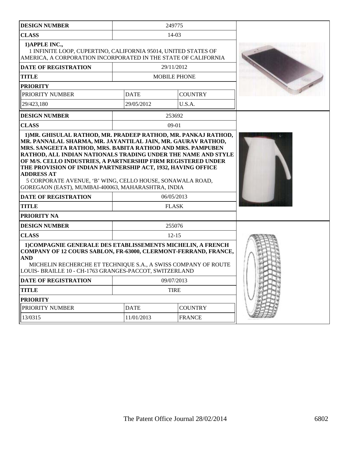| <b>DESIGN NUMBER</b>                                                                                                                                                                                                                                                                                                                                                                                                                                |             | 249775                     |  |
|-----------------------------------------------------------------------------------------------------------------------------------------------------------------------------------------------------------------------------------------------------------------------------------------------------------------------------------------------------------------------------------------------------------------------------------------------------|-------------|----------------------------|--|
| <b>CLASS</b>                                                                                                                                                                                                                                                                                                                                                                                                                                        |             | $14-03$                    |  |
| 1) APPLE INC.,<br>1 INFINITE LOOP, CUPERTINO, CALIFORNIA 95014, UNITED STATES OF<br>AMERICA, A CORPORATION INCORPORATED IN THE STATE OF CALIFORNIA                                                                                                                                                                                                                                                                                                  |             |                            |  |
| <b>DATE OF REGISTRATION</b>                                                                                                                                                                                                                                                                                                                                                                                                                         |             | 29/11/2012                 |  |
| <b>TITLE</b>                                                                                                                                                                                                                                                                                                                                                                                                                                        |             | <b>MOBILE PHONE</b>        |  |
| <b>PRIORITY</b>                                                                                                                                                                                                                                                                                                                                                                                                                                     |             |                            |  |
| PRIORITY NUMBER                                                                                                                                                                                                                                                                                                                                                                                                                                     | <b>DATE</b> | <b>COUNTRY</b>             |  |
| 29/423,180                                                                                                                                                                                                                                                                                                                                                                                                                                          | 29/05/2012  | U.S.A.                     |  |
| <b>DESIGN NUMBER</b>                                                                                                                                                                                                                                                                                                                                                                                                                                |             | 253692                     |  |
| <b>CLASS</b>                                                                                                                                                                                                                                                                                                                                                                                                                                        |             | $09-01$                    |  |
| MRS. SANGEETA RATHOD, MRS. BABITA RATHOD AND MRS. PAMPUBEN<br>RATHOD, ALL INDIAN NATIONALS TRADING UNDER THE NAME AND STYLE<br>OF M/S. CELLO INDUSTRIES, A PARTNERSHIP FIRM REGISTERED UNDER<br>THE PROVISION OF INDIAN PARTNERSHIP ACT, 1932, HAVING OFFICE<br><b>ADDRESS AT</b><br>5 CORPORATE AVENUE, 'B' WING, CELLO HOUSE, SONAWALA ROAD,<br>GOREGAON (EAST), MUMBAI-400063, MAHARASHTRA, INDIA<br><b>DATE OF REGISTRATION</b><br><b>TITLE</b> |             | 06/05/2013<br><b>FLASK</b> |  |
| PRIORITY NA                                                                                                                                                                                                                                                                                                                                                                                                                                         |             |                            |  |
| <b>DESIGN NUMBER</b>                                                                                                                                                                                                                                                                                                                                                                                                                                |             | 255076                     |  |
| <b>CLASS</b>                                                                                                                                                                                                                                                                                                                                                                                                                                        |             | $12 - 15$                  |  |
| 1) COMPAGNIE GENERALE DES ETABLISSEMENTS MICHELIN, A FRENCH<br>COMPANY OF 12 COURS SABLON, FR-63000, CLERMONT-FERRAND, FRANCE,<br><b>AND</b><br>MICHELIN RECHERCHE ET TECHNIQUE S.A., A SWISS COMPANY OF ROUTE<br>LOUIS- BRAILLE 10 - CH-1763 GRANGES-PACCOT, SWITZERLAND                                                                                                                                                                           |             |                            |  |
| DATE OF REGISTRATION                                                                                                                                                                                                                                                                                                                                                                                                                                |             | 09/07/2013                 |  |
| <b>TITLE</b>                                                                                                                                                                                                                                                                                                                                                                                                                                        |             | <b>TIRE</b>                |  |
| <b>PRIORITY</b>                                                                                                                                                                                                                                                                                                                                                                                                                                     |             |                            |  |
| PRIORITY NUMBER                                                                                                                                                                                                                                                                                                                                                                                                                                     | <b>DATE</b> | <b>COUNTRY</b>             |  |
| 13/0315                                                                                                                                                                                                                                                                                                                                                                                                                                             | 11/01/2013  | <b>FRANCE</b>              |  |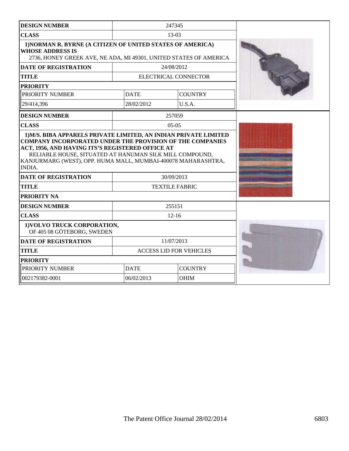| <b>DESIGN NUMBER</b>                                                                                                                                       |             | 247345                         |  |
|------------------------------------------------------------------------------------------------------------------------------------------------------------|-------------|--------------------------------|--|
| <b>CLASS</b>                                                                                                                                               |             | $13-03$                        |  |
| 1) NORMAN R. BYRNE (A CITIZEN OF UNITED STATES OF AMERICA)<br><b>WHOSE ADDRESS IS</b><br>2736, HONEY GREEK AVE, NE ADA, MI 49301, UNITED STATES OF AMERICA |             |                                |  |
| <b>DATE OF REGISTRATION</b>                                                                                                                                |             | 24/08/2012                     |  |
| TITLE                                                                                                                                                      |             | ELECTRICAL CONNECTOR           |  |
| <b>PRIORITY</b>                                                                                                                                            |             |                                |  |
| PRIORITY NUMBER                                                                                                                                            | <b>DATE</b> | <b>COUNTRY</b>                 |  |
| 29/414,396                                                                                                                                                 | 28/02/2012  | U.S.A.                         |  |
| <b>DESIGN NUMBER</b>                                                                                                                                       |             | 257059                         |  |
| <b>CLASS</b>                                                                                                                                               |             | $05-05$                        |  |
| RELIABLE HOUSE, SITUATED AT HANUMAN SILK MILL COMPOUND,<br>KANJURMARG (WEST), OPP. HUMA MALL, MUMBAI-400078 MAHARASHTRA,<br><b>INDIA.</b>                  |             |                                |  |
| <b>DATE OF REGISTRATION</b>                                                                                                                                |             | 30/09/2013                     |  |
| <b>TITLE</b>                                                                                                                                               |             | <b>TEXTILE FABRIC</b>          |  |
| <b>PRIORITY NA</b>                                                                                                                                         |             |                                |  |
| <b>DESIGN NUMBER</b>                                                                                                                                       |             | 255151                         |  |
| <b>CLASS</b>                                                                                                                                               |             | $12 - 16$                      |  |
| 1) VOLVO TRUCK CORPORATION,<br>OF 405 08 GÖTEBORG, SWEDEN                                                                                                  |             |                                |  |
| <b>DATE OF REGISTRATION</b>                                                                                                                                |             | 11/07/2013                     |  |
| <b>TITLE</b>                                                                                                                                               |             | <b>ACCESS LID FOR VEHICLES</b> |  |
| <b>PRIORITY</b>                                                                                                                                            |             |                                |  |
| PRIORITY NUMBER                                                                                                                                            | <b>DATE</b> | <b>COUNTRY</b>                 |  |
| 002179382-0001                                                                                                                                             | 06/02/2013  | <b>OHIM</b>                    |  |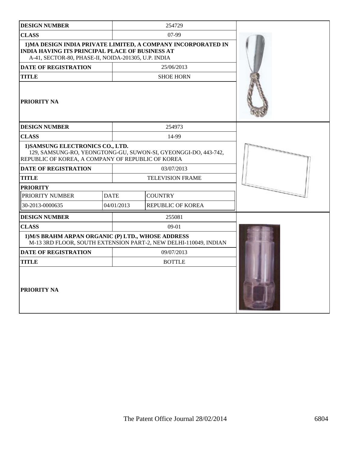| <b>DESIGN NUMBER</b>                                                                                                                                    |             | 254729                                                           |  |
|---------------------------------------------------------------------------------------------------------------------------------------------------------|-------------|------------------------------------------------------------------|--|
| <b>CLASS</b>                                                                                                                                            |             | $07-99$                                                          |  |
| <b>INDIA HAVING ITS PRINCIPAL PLACE OF BUSINESS AT</b><br>A-41, SECTOR-80, PHASE-II, NOIDA-201305, U.P. INDIA                                           |             | 1) MA DESIGN INDIA PRIVATE LIMITED, A COMPANY INCORPORATED IN    |  |
| <b>DATE OF REGISTRATION</b>                                                                                                                             |             | 25/06/2013                                                       |  |
| <b>TITLE</b>                                                                                                                                            |             | <b>SHOE HORN</b>                                                 |  |
| <b>PRIORITY NA</b>                                                                                                                                      |             |                                                                  |  |
| <b>DESIGN NUMBER</b>                                                                                                                                    |             | 254973                                                           |  |
| <b>CLASS</b>                                                                                                                                            |             | 14-99                                                            |  |
| 1) SAMSUNG ELECTRONICS CO., LTD.<br>129, SAMSUNG-RO, YEONGTONG-GU, SUWON-SI, GYEONGGI-DO, 443-742,<br>REPUBLIC OF KOREA, A COMPANY OF REPUBLIC OF KOREA |             |                                                                  |  |
| <b>DATE OF REGISTRATION</b>                                                                                                                             |             | 03/07/2013                                                       |  |
| <b>TITLE</b>                                                                                                                                            |             | <b>TELEVISION FRAME</b>                                          |  |
| <b>PRIORITY</b>                                                                                                                                         |             |                                                                  |  |
| PRIORITY NUMBER                                                                                                                                         | <b>DATE</b> | <b>COUNTRY</b>                                                   |  |
| 30-2013-0000635                                                                                                                                         | 04/01/2013  | <b>REPUBLIC OF KOREA</b>                                         |  |
| <b>DESIGN NUMBER</b>                                                                                                                                    |             | 255081                                                           |  |
| <b>CLASS</b>                                                                                                                                            |             | $09-01$                                                          |  |
| 1) M/S BRAHM ARPAN ORGANIC (P) LTD., WHOSE ADDRESS                                                                                                      |             | M-13 3RD FLOOR, SOUTH EXTENSION PART-2, NEW DELHI-110049, INDIAN |  |
| 09/07/2013<br><b>DATE OF REGISTRATION</b>                                                                                                               |             |                                                                  |  |
| <b>TITLE</b>                                                                                                                                            |             | <b>BOTTLE</b>                                                    |  |
| PRIORITY NA                                                                                                                                             |             |                                                                  |  |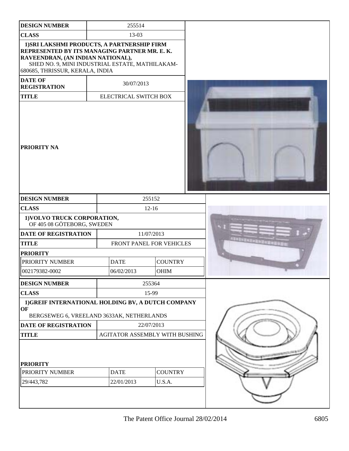| <b>DESIGN NUMBER</b>                                                                                                                                                                                                    | 255514                         |        |                |  |
|-------------------------------------------------------------------------------------------------------------------------------------------------------------------------------------------------------------------------|--------------------------------|--------|----------------|--|
| <b>CLASS</b>                                                                                                                                                                                                            | 13-03                          |        |                |  |
| 1) SRI LAKSHMI PRODUCTS, A PARTNERSHIP FIRM<br>REPRESENTED BY ITS MANAGING PARTNER MR. E. K.<br>RAVEENDRAN, (AN INDIAN NATIONAL),<br>SHED NO. 9, MINI INDUSTRIAL ESTATE, MATHILAKAM-<br>680685, THRISSUR, KERALA, INDIA |                                |        |                |  |
| <b>DATE OF</b><br><b>REGISTRATION</b>                                                                                                                                                                                   | 30/07/2013                     |        |                |  |
| <b>TITLE</b>                                                                                                                                                                                                            | ELECTRICAL SWITCH BOX          |        |                |  |
| <b>PRIORITY NA</b>                                                                                                                                                                                                      |                                |        |                |  |
| <b>DESIGN NUMBER</b>                                                                                                                                                                                                    | 255152                         |        |                |  |
| <b>CLASS</b>                                                                                                                                                                                                            | $12 - 16$                      |        |                |  |
| 1) VOLVO TRUCK CORPORATION,<br>OF 405 08 GÖTEBORG, SWEDEN                                                                                                                                                               |                                |        |                |  |
| <b>DATE OF REGISTRATION</b>                                                                                                                                                                                             | 11/07/2013                     |        |                |  |
| <b>TITLE</b>                                                                                                                                                                                                            | FRONT PANEL FOR VEHICLES       |        |                |  |
| <b>PRIORITY</b>                                                                                                                                                                                                         |                                |        |                |  |
| PRIORITY NUMBER                                                                                                                                                                                                         | <b>DATE</b>                    |        | <b>COUNTRY</b> |  |
| 002179382-0002                                                                                                                                                                                                          | 06/02/2013                     |        | <b>OHIM</b>    |  |
| <b>DESIGN NUMBER</b>                                                                                                                                                                                                    |                                | 255364 |                |  |
| <b>CLASS</b>                                                                                                                                                                                                            |                                | 15-99  |                |  |
| 1) GREIF INTERNATIONAL HOLDING BV, A DUTCH COMPANY<br>OF                                                                                                                                                                |                                |        |                |  |
| BERGSEWEG 6, VREELAND 3633AK, NETHERLANDS                                                                                                                                                                               |                                |        |                |  |
| DATE OF REGISTRATION                                                                                                                                                                                                    | 22/07/2013                     |        |                |  |
| <b>TITLE</b><br><b>PRIORITY</b>                                                                                                                                                                                         | AGITATOR ASSEMBLY WITH BUSHING |        |                |  |
| PRIORITY NUMBER                                                                                                                                                                                                         | <b>DATE</b>                    |        | <b>COUNTRY</b> |  |
| 29/443,782                                                                                                                                                                                                              | 22/01/2013                     |        | U.S.A.         |  |
|                                                                                                                                                                                                                         |                                |        |                |  |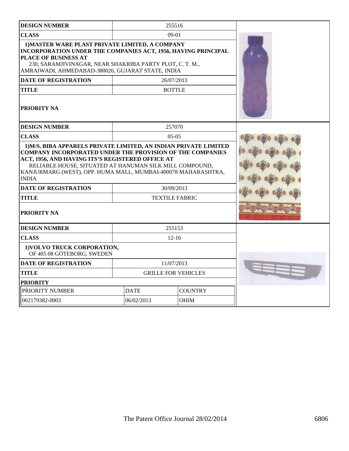| <b>DESIGN NUMBER</b>                                                                                                                                                                                                                                             |             | 255516                     |  |
|------------------------------------------------------------------------------------------------------------------------------------------------------------------------------------------------------------------------------------------------------------------|-------------|----------------------------|--|
| <b>CLASS</b>                                                                                                                                                                                                                                                     |             | $09-01$                    |  |
| 1) MASTER WARE PLAST PRIVATE LIMITED, A COMPANY<br>INCORPORATION UNDER THE COMPANIES ACT, 1956, HAVING PRINCIPAL<br>PLACE OF BUSINESS AT<br>230, SARAMJIVINAGAR, NEAR SHAKRIBA PARTY PLOT, C. T. M.,<br>AMRAIWADI, AHMEDABAD-380026, GUJARAT STATE, INDIA        |             |                            |  |
| <b>DATE OF REGISTRATION</b>                                                                                                                                                                                                                                      |             | 26/07/2013                 |  |
| <b>TITLE</b>                                                                                                                                                                                                                                                     |             | <b>BOTTLE</b>              |  |
| <b>PRIORITY NA</b>                                                                                                                                                                                                                                               |             |                            |  |
| <b>DESIGN NUMBER</b>                                                                                                                                                                                                                                             |             | 257070                     |  |
| <b>CLASS</b>                                                                                                                                                                                                                                                     |             | $05-05$                    |  |
| <b>COMPANY INCORPORATED UNDER THE PROVISION OF THE COMPANIES</b><br>ACT, 1956, AND HAVING ITS'S REGISTERED OFFICE AT<br>RELIABLE HOUSE, SITUATED AT HANUMAN SILK MILL COMPOUND,<br>KANJURMARG (WEST), OPP. HUMA MALL, MUMBAI-400078 MAHARASHTRA,<br><b>INDIA</b> |             |                            |  |
| <b>DATE OF REGISTRATION</b>                                                                                                                                                                                                                                      |             | 30/09/2013                 |  |
| <b>TITLE</b>                                                                                                                                                                                                                                                     |             | <b>TEXTILE FABRIC</b>      |  |
| PRIORITY NA                                                                                                                                                                                                                                                      |             |                            |  |
| <b>DESIGN NUMBER</b>                                                                                                                                                                                                                                             |             | 255153                     |  |
| <b>CLASS</b>                                                                                                                                                                                                                                                     |             | $12 - 16$                  |  |
| 1) VOLVO TRUCK CORPORATION,<br>OF 405 08 GÖTEBORG, SWEDEN                                                                                                                                                                                                        |             |                            |  |
| <b>DATE OF REGISTRATION</b>                                                                                                                                                                                                                                      |             | 11/07/2013                 |  |
| <b>TITLE</b>                                                                                                                                                                                                                                                     |             | <b>GRILLE FOR VEHICLES</b> |  |
| <b>PRIORITY</b>                                                                                                                                                                                                                                                  |             |                            |  |
| PRIORITY NUMBER                                                                                                                                                                                                                                                  | <b>DATE</b> | <b>COUNTRY</b>             |  |
| 002179382-0003                                                                                                                                                                                                                                                   | 06/02/2013  | <b>OHIM</b>                |  |
|                                                                                                                                                                                                                                                                  |             |                            |  |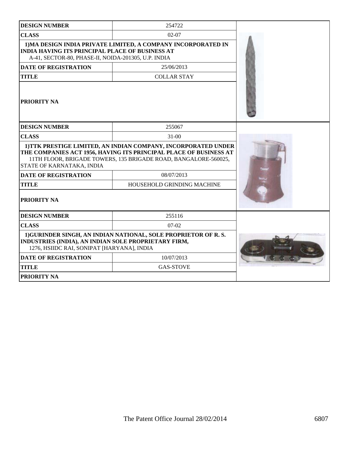| <b>DESIGN NUMBER</b>                                                                                          | 254722                                                                                                                                                                                                 |  |
|---------------------------------------------------------------------------------------------------------------|--------------------------------------------------------------------------------------------------------------------------------------------------------------------------------------------------------|--|
| <b>CLASS</b>                                                                                                  | $02 - 07$                                                                                                                                                                                              |  |
| <b>INDIA HAVING ITS PRINCIPAL PLACE OF BUSINESS AT</b><br>A-41, SECTOR-80, PHASE-II, NOIDA-201305, U.P. INDIA | 1) MA DESIGN INDIA PRIVATE LIMITED, A COMPANY INCORPORATED IN                                                                                                                                          |  |
| <b>DATE OF REGISTRATION</b>                                                                                   | 25/06/2013                                                                                                                                                                                             |  |
| <b>TITLE</b>                                                                                                  | <b>COLLAR STAY</b>                                                                                                                                                                                     |  |
| PRIORITY NA                                                                                                   |                                                                                                                                                                                                        |  |
| <b>DESIGN NUMBER</b>                                                                                          | 255067                                                                                                                                                                                                 |  |
| <b>CLASS</b>                                                                                                  | $31 - 00$                                                                                                                                                                                              |  |
| STATE OF KARNATAKA, INDIA                                                                                     | 1) TTK PRESTIGE LIMITED, AN INDIAN COMPANY, INCORPORATED UNDER<br>THE COMPANIES ACT 1956, HAVING ITS PRINCIPAL PLACE OF BUSINESS AT<br>11TH FLOOR, BRIGADE TOWERS, 135 BRIGADE ROAD, BANGALORE-560025, |  |
| <b>DATE OF REGISTRATION</b>                                                                                   | 08/07/2013                                                                                                                                                                                             |  |
| HOUSEHOLD GRINDING MACHINE<br><b>TITLE</b>                                                                    |                                                                                                                                                                                                        |  |
| PRIORITY NA                                                                                                   |                                                                                                                                                                                                        |  |
| <b>DESIGN NUMBER</b>                                                                                          | 255116                                                                                                                                                                                                 |  |
| <b>CLASS</b>                                                                                                  | $07-02$                                                                                                                                                                                                |  |
| INDUSTRIES (INDIA), AN INDIAN SOLE PROPRIETARY FIRM,<br>1276, HSIIDC RAI, SONIPAT [HARYANA], INDIA            | 1) GURINDER SINGH, AN INDIAN NATIONAL, SOLE PROPRIETOR OF R.S.                                                                                                                                         |  |
| <b>DATE OF REGISTRATION</b>                                                                                   | 10/07/2013                                                                                                                                                                                             |  |
| <b>TITLE</b>                                                                                                  | <b>GAS-STOVE</b>                                                                                                                                                                                       |  |
| <b>PRIORITY NA</b>                                                                                            |                                                                                                                                                                                                        |  |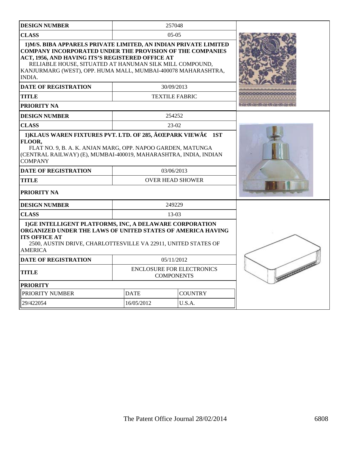| <b>DESIGN NUMBER</b>                                                                                                                                                                                                                                                                                                                                                 |             | 257048                                                |                  |
|----------------------------------------------------------------------------------------------------------------------------------------------------------------------------------------------------------------------------------------------------------------------------------------------------------------------------------------------------------------------|-------------|-------------------------------------------------------|------------------|
| <b>CLASS</b>                                                                                                                                                                                                                                                                                                                                                         |             | $05-05$                                               |                  |
| 1) M/S. BIBA APPARELS PRIVATE LIMITED, AN INDIAN PRIVATE LIMITED<br><b>COMPANY INCORPORATED UNDER THE PROVISION OF THE COMPANIES</b><br>ACT, 1956, AND HAVING ITS'S REGISTERED OFFICE AT<br>RELIABLE HOUSE, SITUATED AT HANUMAN SILK MILL COMPOUND,<br>KANJURMARG (WEST), OPP. HUMA MALL, MUMBAI-400078 MAHARASHTRA,<br><b>INDIA.</b><br><b>DATE OF REGISTRATION</b> |             |                                                       |                  |
| <b>TITLE</b>                                                                                                                                                                                                                                                                                                                                                         |             | 30/09/2013<br><b>TEXTILE FABRIC</b>                   |                  |
| PRIORITY NA                                                                                                                                                                                                                                                                                                                                                          |             |                                                       |                  |
| <b>DESIGN NUMBER</b>                                                                                                                                                                                                                                                                                                                                                 |             | 254252                                                |                  |
| <b>CLASS</b>                                                                                                                                                                                                                                                                                                                                                         |             | $23-02$                                               |                  |
| 1) KLAUS WAREN FIXTURES PVT. LTD. OF 285, $\hat{A}$ EEPARK VIEW $\hat{A} \in 1$ ST<br>FLOOR,<br>FLAT NO. 9, B. A. K. ANJAN MARG, OPP. NAPOO GARDEN, MATUNGA<br>(CENTRAL RAILWAY) (E), MUMBAI-400019, MAHARASHTRA, INDIA, INDIAN<br><b>COMPANY</b><br><b>DATE OF REGISTRATION</b><br><b>TITLE</b><br><b>PRIORITY NA</b>                                               |             |                                                       |                  |
| <b>DESIGN NUMBER</b>                                                                                                                                                                                                                                                                                                                                                 |             | 249229                                                |                  |
| <b>CLASS</b>                                                                                                                                                                                                                                                                                                                                                         |             | $13-03$                                               |                  |
| 1) GE INTELLIGENT PLATFORMS, INC, A DELAWARE CORPORATION<br>ORGANIZED UNDER THE LAWS OF UNITED STATES OF AMERICA HAVING<br><b>ITS OFFICE AT</b><br>2500, AUSTIN DRIVE, CHARLOTTESVILLE VA 22911, UNITED STATES OF<br><b>AMERICA</b>                                                                                                                                  |             |                                                       |                  |
| <b>DATE OF REGISTRATION</b>                                                                                                                                                                                                                                                                                                                                          |             | 05/11/2012                                            |                  |
| <b>TITLE</b>                                                                                                                                                                                                                                                                                                                                                         |             | <b>ENCLOSURE FOR ELECTRONICS</b><br><b>COMPONENTS</b> | <b>SECRECCED</b> |
| <b>PRIORITY</b>                                                                                                                                                                                                                                                                                                                                                      |             |                                                       |                  |
| PRIORITY NUMBER                                                                                                                                                                                                                                                                                                                                                      | <b>DATE</b> | <b>COUNTRY</b>                                        |                  |
| 29/422054                                                                                                                                                                                                                                                                                                                                                            | 16/05/2012  | U.S.A.                                                |                  |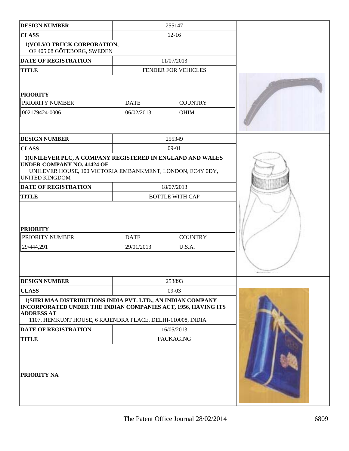| <b>DESIGN NUMBER</b>                                                                                                                                                                                             |                           | 255147                   |  |
|------------------------------------------------------------------------------------------------------------------------------------------------------------------------------------------------------------------|---------------------------|--------------------------|--|
| <b>CLASS</b>                                                                                                                                                                                                     |                           | $12 - 16$                |  |
| 1) VOLVO TRUCK CORPORATION,<br>OF 405 08 GÖTEBORG, SWEDEN                                                                                                                                                        |                           |                          |  |
| <b>DATE OF REGISTRATION</b>                                                                                                                                                                                      |                           | 11/07/2013               |  |
| <b>TITLE</b>                                                                                                                                                                                                     |                           | FENDER FOR VEHICLES      |  |
| <b>PRIORITY</b>                                                                                                                                                                                                  |                           |                          |  |
| PRIORITY NUMBER                                                                                                                                                                                                  | <b>DATE</b>               | <b>COUNTRY</b>           |  |
| 002179424-0006                                                                                                                                                                                                   | 06/02/2013                | OHIM                     |  |
|                                                                                                                                                                                                                  |                           |                          |  |
| <b>DESIGN NUMBER</b>                                                                                                                                                                                             |                           | 255349                   |  |
| <b>CLASS</b>                                                                                                                                                                                                     |                           | 09-01                    |  |
| 1) UNILEVER PLC, A COMPANY REGISTERED IN ENGLAND AND WALES<br><b>UNDER COMPANY NO. 41424 OF</b><br>UNILEVER HOUSE, 100 VICTORIA EMBANKMENT, LONDON, EC4Y 0DY,<br><b>UNITED KINGDOM</b>                           |                           |                          |  |
| DATE OF REGISTRATION                                                                                                                                                                                             |                           | 18/07/2013               |  |
| <b>TITLE</b>                                                                                                                                                                                                     |                           | <b>BOTTLE WITH CAP</b>   |  |
| <b>PRIORITY</b><br>PRIORITY NUMBER<br>29/444,291                                                                                                                                                                 | <b>DATE</b><br>29/01/2013 | <b>COUNTRY</b><br>U.S.A. |  |
| <b>DESIGN NUMBER</b>                                                                                                                                                                                             |                           | 253893                   |  |
| <b>CLASS</b>                                                                                                                                                                                                     |                           | $09-03$                  |  |
| 1) SHRI MAA DISTRIBUTIONS INDIA PVT. LTD., AN INDIAN COMPANY<br>INCORPORATED UNDER THE INDIAN COMPANIES ACT, 1956, HAVING ITS<br><b>ADDRESS AT</b><br>1107, HEMKUNT HOUSE, 6 RAJENDRA PLACE, DELHI-110008, INDIA |                           |                          |  |
| <b>DATE OF REGISTRATION</b>                                                                                                                                                                                      |                           | 16/05/2013               |  |
| <b>TITLE</b>                                                                                                                                                                                                     |                           | <b>PACKAGING</b>         |  |
| PRIORITY NA                                                                                                                                                                                                      |                           |                          |  |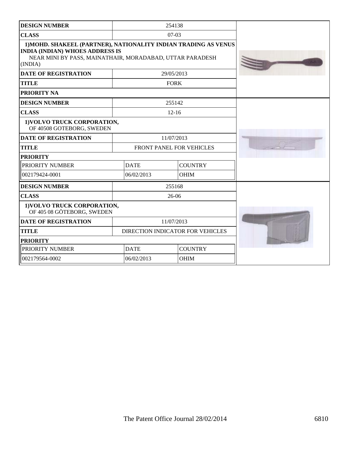| <b>DESIGN NUMBER</b>                                                                                                                                                             |             | 254138                           |  |
|----------------------------------------------------------------------------------------------------------------------------------------------------------------------------------|-------------|----------------------------------|--|
| <b>CLASS</b>                                                                                                                                                                     |             | $07-03$                          |  |
| 1) MOHD. SHAKEEL (PARTNER), NATIONALITY INDIAN TRADING AS VENUS<br><b>INDIA (INDIAN) WHOES ADDRESS IS</b><br>NEAR MINI BY PASS, MAINATHAIR, MORADABAD, UTTAR PARADESH<br>(INDIA) |             |                                  |  |
| <b>DATE OF REGISTRATION</b>                                                                                                                                                      |             | 29/05/2013                       |  |
| <b>TITLE</b>                                                                                                                                                                     |             | <b>FORK</b>                      |  |
| PRIORITY NA                                                                                                                                                                      |             |                                  |  |
| <b>DESIGN NUMBER</b>                                                                                                                                                             |             | 255142                           |  |
| <b>CLASS</b>                                                                                                                                                                     |             | $12 - 16$                        |  |
| 1) VOLVO TRUCK CORPORATION,<br>OF 40508 GOTEBORG, SWEDEN                                                                                                                         |             |                                  |  |
| <b>DATE OF REGISTRATION</b>                                                                                                                                                      |             | 11/07/2013                       |  |
| <b>TITLE</b>                                                                                                                                                                     |             | FRONT PANEL FOR VEHICLES         |  |
| <b>PRIORITY</b>                                                                                                                                                                  |             |                                  |  |
| PRIORITY NUMBER                                                                                                                                                                  | <b>DATE</b> | <b>COUNTRY</b>                   |  |
| 002179424-0001                                                                                                                                                                   | 06/02/2013  | <b>OHIM</b>                      |  |
| <b>DESIGN NUMBER</b>                                                                                                                                                             |             | 255168                           |  |
| <b>CLASS</b>                                                                                                                                                                     |             | 26-06                            |  |
| 1) VOLVO TRUCK CORPORATION,<br>OF 405 08 GÖTEBORG, SWEDEN                                                                                                                        |             |                                  |  |
| <b>DATE OF REGISTRATION</b>                                                                                                                                                      |             | 11/07/2013                       |  |
| <b>TITLE</b>                                                                                                                                                                     |             | DIRECTION INDICATOR FOR VEHICLES |  |
| <b>PRIORITY</b>                                                                                                                                                                  |             |                                  |  |
| PRIORITY NUMBER                                                                                                                                                                  | <b>DATE</b> | <b>COUNTRY</b>                   |  |
| 002179564-0002                                                                                                                                                                   | 06/02/2013  | <b>OHIM</b>                      |  |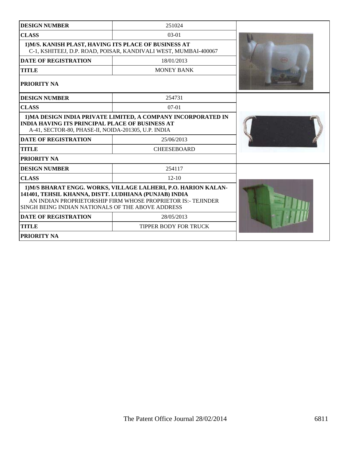| <b>DESIGN NUMBER</b>                                                                                                                                                                                                                         | 251024                                                          |  |
|----------------------------------------------------------------------------------------------------------------------------------------------------------------------------------------------------------------------------------------------|-----------------------------------------------------------------|--|
| <b>CLASS</b>                                                                                                                                                                                                                                 | $03-01$                                                         |  |
| 1) M/S. KANISH PLAST, HAVING ITS PLACE OF BUSINESS AT                                                                                                                                                                                        | C-1, KSHITEEJ, D.P. ROAD, POISAR, KANDIVALI WEST, MUMBAI-400067 |  |
| <b>DATE OF REGISTRATION</b>                                                                                                                                                                                                                  | 18/01/2013                                                      |  |
| <b>TITLE</b>                                                                                                                                                                                                                                 | <b>MONEY BANK</b>                                               |  |
| PRIORITY NA                                                                                                                                                                                                                                  |                                                                 |  |
| <b>DESIGN NUMBER</b>                                                                                                                                                                                                                         | 254731                                                          |  |
| <b>CLASS</b>                                                                                                                                                                                                                                 | $07-01$                                                         |  |
| 1) MA DESIGN INDIA PRIVATE LIMITED, A COMPANY INCORPORATED IN<br><b>INDIA HAVING ITS PRINCIPAL PLACE OF BUSINESS AT</b><br>A-41, SECTOR-80, PHASE-II, NOIDA-201305, U.P. INDIA                                                               |                                                                 |  |
| <b>DATE OF REGISTRATION</b>                                                                                                                                                                                                                  | 25/06/2013                                                      |  |
| <b>TITLE</b>                                                                                                                                                                                                                                 | <b>CHEESEBOARD</b>                                              |  |
| <b>PRIORITY NA</b>                                                                                                                                                                                                                           |                                                                 |  |
| <b>DESIGN NUMBER</b>                                                                                                                                                                                                                         | 254117                                                          |  |
| <b>CLASS</b>                                                                                                                                                                                                                                 | $12 - 10$                                                       |  |
| 1) M/S BHARAT ENGG. WORKS, VILLAGE LALHERI, P.O. HARION KALAN-<br>141401, TEHSIL KHANNA, DISTT. LUDHIANA (PUNJAB) INDIA<br>AN INDIAN PROPRIETORSHIP FIRM WHOSE PROPRIETOR IS:- TEJINDER<br>SINGH BEING INDIAN NATIONALS OF THE ABOVE ADDRESS |                                                                 |  |
| <b>DATE OF REGISTRATION</b>                                                                                                                                                                                                                  | 28/05/2013                                                      |  |
| <b>TITLE</b>                                                                                                                                                                                                                                 | TIPPER BODY FOR TRUCK                                           |  |
| PRIORITY NA                                                                                                                                                                                                                                  |                                                                 |  |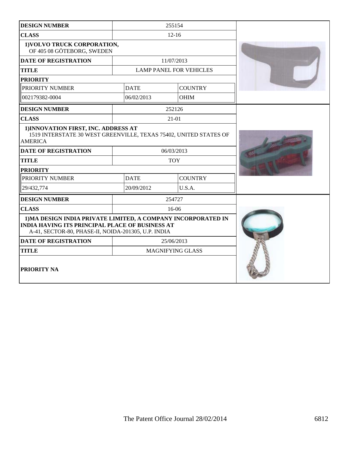| <b>DESIGN NUMBER</b>                                                                                                                                                           |                               | 255154                         |  |
|--------------------------------------------------------------------------------------------------------------------------------------------------------------------------------|-------------------------------|--------------------------------|--|
| <b>CLASS</b>                                                                                                                                                                   |                               | $12 - 16$                      |  |
| 1) VOLVO TRUCK CORPORATION,<br>OF 405 08 GÖTEBORG, SWEDEN                                                                                                                      |                               |                                |  |
| <b>DATE OF REGISTRATION</b>                                                                                                                                                    |                               | 11/07/2013                     |  |
| <b>TITLE</b>                                                                                                                                                                   |                               | <b>LAMP PANEL FOR VEHICLES</b> |  |
| <b>PRIORITY</b>                                                                                                                                                                |                               |                                |  |
| PRIORITY NUMBER                                                                                                                                                                | <b>DATE</b>                   | <b>COUNTRY</b>                 |  |
| 002179382-0004                                                                                                                                                                 | 06/02/2013                    | <b>OHIM</b>                    |  |
| <b>DESIGN NUMBER</b>                                                                                                                                                           |                               | 252126                         |  |
| <b>CLASS</b>                                                                                                                                                                   |                               | $21 - 01$                      |  |
| 1) INNOVATION FIRST, INC. ADDRESS AT<br>1519 INTERSTATE 30 WEST GREENVILLE, TEXAS 75402, UNITED STATES OF<br><b>AMERICA</b>                                                    |                               |                                |  |
| <b>DATE OF REGISTRATION</b>                                                                                                                                                    |                               | 06/03/2013                     |  |
| <b>TITLE</b>                                                                                                                                                                   |                               | <b>TOY</b>                     |  |
| <b>PRIORITY</b>                                                                                                                                                                |                               |                                |  |
| PRIORITY NUMBER                                                                                                                                                                | <b>DATE</b><br><b>COUNTRY</b> |                                |  |
| 29/432,774                                                                                                                                                                     | 20/09/2012                    | U.S.A.                         |  |
| <b>DESIGN NUMBER</b>                                                                                                                                                           |                               | 254727                         |  |
| <b>CLASS</b>                                                                                                                                                                   |                               | $16-06$                        |  |
| 1) MA DESIGN INDIA PRIVATE LIMITED, A COMPANY INCORPORATED IN<br><b>INDIA HAVING ITS PRINCIPAL PLACE OF BUSINESS AT</b><br>A-41, SECTOR-80, PHASE-II, NOIDA-201305, U.P. INDIA |                               |                                |  |
| <b>DATE OF REGISTRATION</b>                                                                                                                                                    |                               | 25/06/2013                     |  |
| <b>TITLE</b>                                                                                                                                                                   |                               | <b>MAGNIFYING GLASS</b>        |  |
| PRIORITY NA                                                                                                                                                                    |                               |                                |  |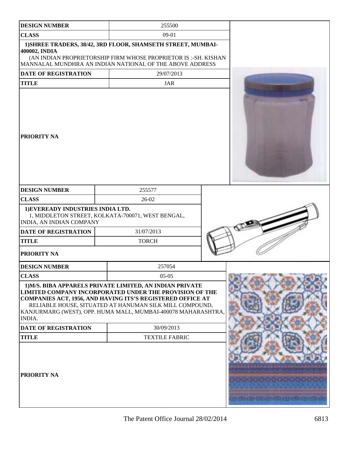| <b>DESIGN NUMBER</b>                                          | 255500                                                                                                                                                                                                                                                                                                        |                                     |
|---------------------------------------------------------------|---------------------------------------------------------------------------------------------------------------------------------------------------------------------------------------------------------------------------------------------------------------------------------------------------------------|-------------------------------------|
| <b>CLASS</b>                                                  | 09-01                                                                                                                                                                                                                                                                                                         |                                     |
| 400002, INDIA                                                 | 1) SHREE TRADERS, 38/42, 3RD FLOOR, SHAMSETH STREET, MUMBAI-<br>(AN INDIAN PROPRIETORSHIP FIRM WHOSE PROPRIETOR IS :- SH. KISHAN<br>MANNALAL MUNDHRA AN INDIAN NATIONAL OF THE ABOVE ADDRESS                                                                                                                  |                                     |
| DATE OF REGISTRATION                                          | 29/07/2013                                                                                                                                                                                                                                                                                                    |                                     |
| <b>TITLE</b>                                                  | <b>JAR</b>                                                                                                                                                                                                                                                                                                    |                                     |
| PRIORITY NA                                                   |                                                                                                                                                                                                                                                                                                               |                                     |
| <b>DESIGN NUMBER</b>                                          | 255577                                                                                                                                                                                                                                                                                                        |                                     |
| <b>CLASS</b>                                                  | $26-02$                                                                                                                                                                                                                                                                                                       |                                     |
| 1) EVEREADY INDUSTRIES INDIA LTD.<br>INDIA, AN INDIAN COMPANY | 1, MIDDLETON STREET, KOLKATA-700071, WEST BENGAL,                                                                                                                                                                                                                                                             |                                     |
| <b>DATE OF REGISTRATION</b>                                   | 31/07/2013                                                                                                                                                                                                                                                                                                    |                                     |
| <b>TITLE</b>                                                  | <b>TORCH</b>                                                                                                                                                                                                                                                                                                  |                                     |
| PRIORITY NA                                                   |                                                                                                                                                                                                                                                                                                               |                                     |
| <b>DESIGN NUMBER</b>                                          | 257054                                                                                                                                                                                                                                                                                                        |                                     |
| <b>CLASS</b>                                                  | $05-05$                                                                                                                                                                                                                                                                                                       |                                     |
| INDIA.                                                        | 1) M/S. BIBA APPARELS PRIVATE LIMITED, AN INDIAN PRIVATE<br>LIMITED COMPANY INCORPORATED UNDER THE PROVISION OF THE<br>COMPANIES ACT, 1956, AND HAVING ITS'S REGISTERED OFFICE AT<br>RELIABLE HOUSE, SITUATED AT HANUMAN SILK MILL COMPOUND,<br>KANJURMARG (WEST), OPP. HUMA MALL, MUMBAI-400078 MAHARASHTRA, |                                     |
| <b>DATE OF REGISTRATION</b>                                   | 30/09/2013                                                                                                                                                                                                                                                                                                    |                                     |
| <b>TITLE</b>                                                  | <b>TEXTILE FABRIC</b>                                                                                                                                                                                                                                                                                         |                                     |
| PRIORITY NA                                                   |                                                                                                                                                                                                                                                                                                               | <u> Harian Ang Managanan ang pa</u> |